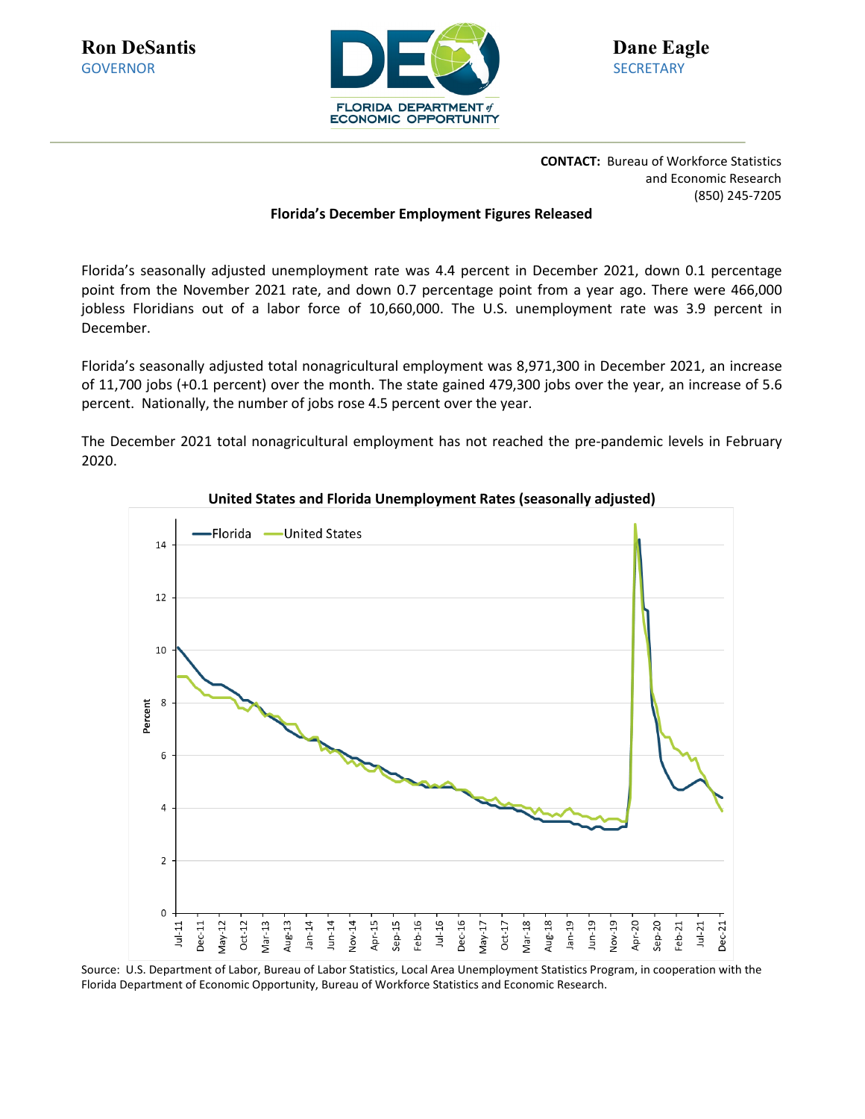

**CONTACT:** Bureau of Workforce Statistics and Economic Research (850) 245-7205

#### **Florida's December Employment Figures Released**

Florida's seasonally adjusted unemployment rate was 4.4 percent in December 2021, down 0.1 percentage point from the November 2021 rate, and down 0.7 percentage point from a year ago. There were 466,000 jobless Floridians out of a labor force of 10,660,000. The U.S. unemployment rate was 3.9 percent in December.

Florida's seasonally adjusted total nonagricultural employment was 8,971,300 in December 2021, an increase of 11,700 jobs (+0.1 percent) over the month. The state gained 479,300 jobs over the year, an increase of 5.6 percent. Nationally, the number of jobs rose 4.5 percent over the year.

The December 2021 total nonagricultural employment has not reached the pre-pandemic levels in February 2020.



**United States and Florida Unemployment Rates (seasonally adjusted)**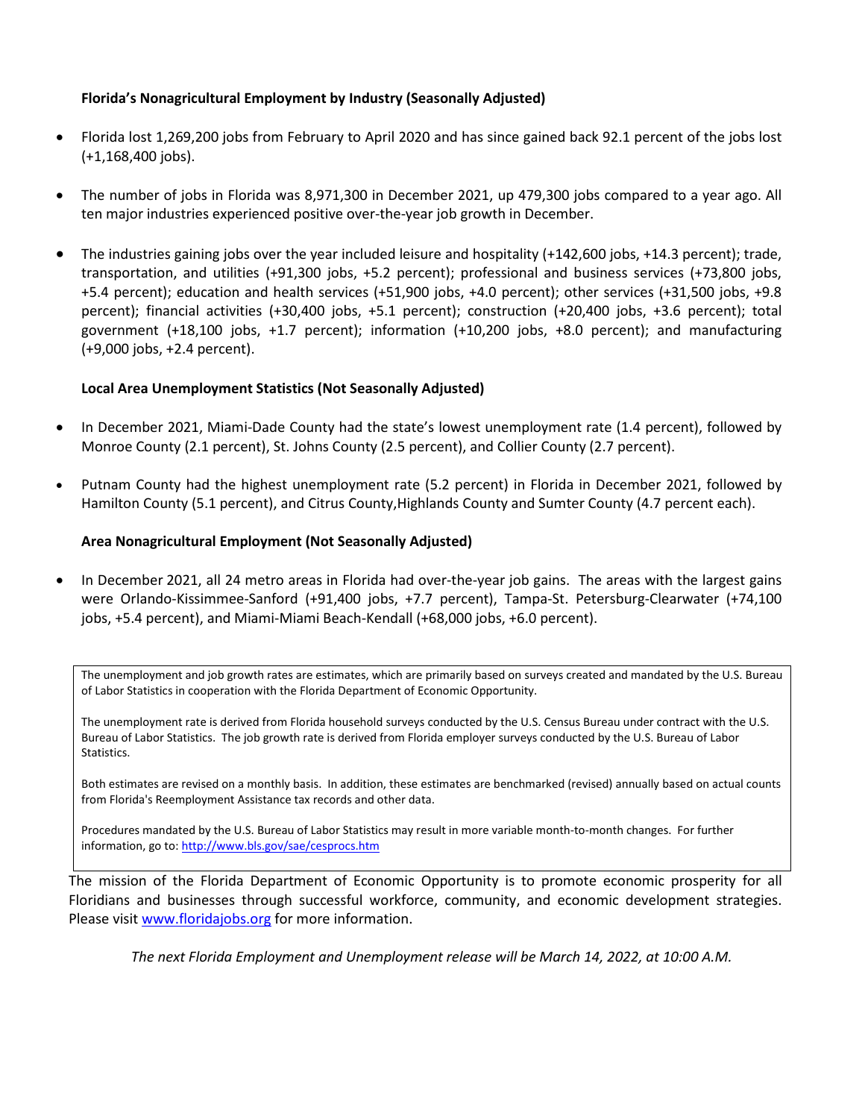#### **Florida's Nonagricultural Employment by Industry (Seasonally Adjusted)**

- Florida lost 1,269,200 jobs from February to April 2020 and has since gained back 92.1 percent of the jobs lost (+1,168,400 jobs).
- The number of jobs in Florida was 8,971,300 in December 2021, up 479,300 jobs compared to a year ago. All ten major industries experienced positive over-the-year job growth in December.
- The industries gaining jobs over the year included leisure and hospitality (+142,600 jobs, +14.3 percent); trade, transportation, and utilities (+91,300 jobs, +5.2 percent); professional and business services (+73,800 jobs, +5.4 percent); education and health services (+51,900 jobs, +4.0 percent); other services (+31,500 jobs, +9.8 percent); financial activities (+30,400 jobs, +5.1 percent); construction (+20,400 jobs, +3.6 percent); total government (+18,100 jobs, +1.7 percent); information (+10,200 jobs, +8.0 percent); and manufacturing (+9,000 jobs, +2.4 percent).

## **Local Area Unemployment Statistics (Not Seasonally Adjusted)**

- In December 2021, Miami-Dade County had the state's lowest unemployment rate (1.4 percent), followed by Monroe County (2.1 percent), St. Johns County (2.5 percent), and Collier County (2.7 percent).
- Putnam County had the highest unemployment rate (5.2 percent) in Florida in December 2021, followed by Hamilton County (5.1 percent), and Citrus County,Highlands County and Sumter County (4.7 percent each).

### **Area Nonagricultural Employment (Not Seasonally Adjusted)**

• In December 2021, all 24 metro areas in Florida had over-the-year job gains. The areas with the largest gains were Orlando-Kissimmee-Sanford (+91,400 jobs, +7.7 percent), Tampa-St. Petersburg-Clearwater (+74,100 jobs, +5.4 percent), and Miami-Miami Beach-Kendall (+68,000 jobs, +6.0 percent).

The unemployment and job growth rates are estimates, which are primarily based on surveys created and mandated by the U.S. Bureau of Labor Statistics in cooperation with the Florida Department of Economic Opportunity.

The unemployment rate is derived from Florida household surveys conducted by the U.S. Census Bureau under contract with the U.S. Bureau of Labor Statistics. The job growth rate is derived from Florida employer surveys conducted by the U.S. Bureau of Labor Statistics.

Both estimates are revised on a monthly basis. In addition, these estimates are benchmarked (revised) annually based on actual counts from Florida's Reemployment Assistance tax records and other data.

Procedures mandated by the U.S. Bureau of Labor Statistics may result in more variable month-to-month changes. For further information, go to[: http://www.bls.gov/sae/cesprocs.htm](http://www.bls.gov/sae/cesprocs.htm)

The mission of the Florida Department of Economic Opportunity is to promote economic prosperity for all Floridians and businesses through successful workforce, community, and economic development strategies. Please visit [www.floridajobs.org](http://www.floridajobs.org/) for more information.

*The next Florida Employment and Unemployment release will be March 14, 2022, at 10:00 A.M.*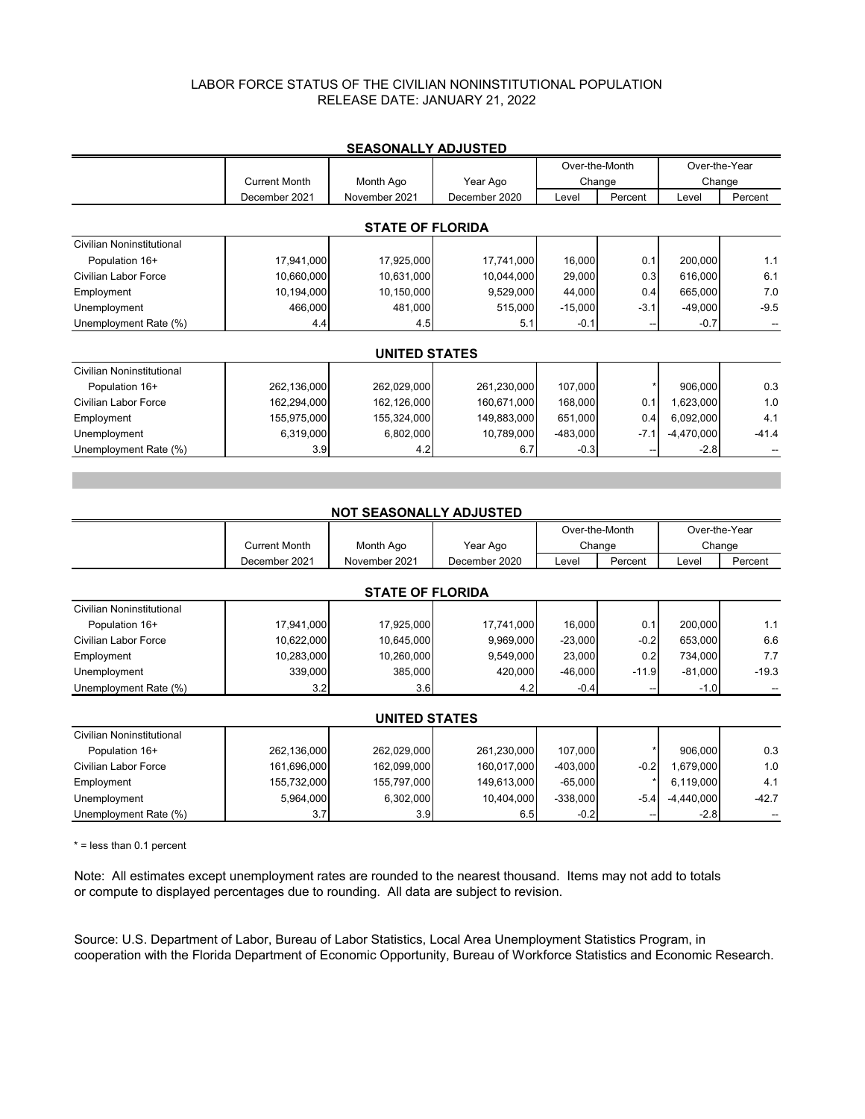### LABOR FORCE STATUS OF THE CIVILIAN NONINSTITUTIONAL POPULATION RELEASE DATE: JANUARY 21, 2022

|                           |                      |                      |               | Over-the-Month |         | Over-the-Year |         |  |  |  |  |  |
|---------------------------|----------------------|----------------------|---------------|----------------|---------|---------------|---------|--|--|--|--|--|
|                           | <b>Current Month</b> | Month Ago            | Year Ago      |                | Change  | Change        |         |  |  |  |  |  |
|                           | December 2021        | November 2021        | December 2020 | Level          | Percent | Level         | Percent |  |  |  |  |  |
|                           |                      |                      |               |                |         |               |         |  |  |  |  |  |
| <b>STATE OF FLORIDA</b>   |                      |                      |               |                |         |               |         |  |  |  |  |  |
| Civilian Noninstitutional |                      |                      |               |                |         |               |         |  |  |  |  |  |
| Population 16+            | 17,941,000           | 17,925,000           | 17,741,000    | 16,000         | 0.1     | 200,000       | 1.1     |  |  |  |  |  |
| Civilian Labor Force      | 10,660,000           | 10,631,000           | 10,044,000    | 29,000         | 0.3     | 616,000       | 6.1     |  |  |  |  |  |
| Employment                | 10,194,000           | 10,150,000           | 9,529,000     | 44,000         | 0.4     | 665,000       | 7.0     |  |  |  |  |  |
| Unemployment              | 466,000              | 481,000              | 515,000       | $-15,000$      | $-3.1$  | $-49,000$     | $-9.5$  |  |  |  |  |  |
| Unemployment Rate (%)     | 4.4                  | 4.5                  | 5.1           | $-0.1$         |         | $-0.7$        |         |  |  |  |  |  |
|                           |                      |                      |               |                |         |               |         |  |  |  |  |  |
|                           |                      | <b>UNITED STATES</b> |               |                |         |               |         |  |  |  |  |  |
| Civilian Noninstitutional |                      |                      |               |                |         |               |         |  |  |  |  |  |
| Population 16+            | 262,136,000          | 262,029,000          | 261,230,000   | 107,000        |         | 906,000       | 0.3     |  |  |  |  |  |
| Civilian Labor Force      | 162,294,000          | 162,126,000          | 160,671,000   | 168,000        | 0.1     | 1,623,000     | 1.0     |  |  |  |  |  |
| Employment                | 155,975,000          | 155,324,000          | 149,883,000   | 651,000        | 0.4     | 6,092,000     | 4.1     |  |  |  |  |  |
| Unemployment              | 6,319,000            | 6,802,000            | 10,789,000    | $-483,000$     | $-7.1$  | $-4,470,000$  | $-41.4$ |  |  |  |  |  |
| Unemployment Rate (%)     | 3.9                  | 4.2                  | 6.7           | $-0.3$         |         | $-2.8$        |         |  |  |  |  |  |
|                           |                      |                      |               |                |         |               |         |  |  |  |  |  |
|                           |                      |                      |               |                |         |               |         |  |  |  |  |  |
|                           |                      |                      |               |                |         |               |         |  |  |  |  |  |

### **SEASONALLY ADJUSTED**

|                             |                      | <b>NOT SEASONALLY ADJUSTED</b> |               |            |                |               |         |  |  |  |  |
|-----------------------------|----------------------|--------------------------------|---------------|------------|----------------|---------------|---------|--|--|--|--|
|                             |                      |                                |               |            | Over-the-Month | Over-the-Year |         |  |  |  |  |
|                             | <b>Current Month</b> | Month Ago                      | Year Ago      |            | Change         | Change        |         |  |  |  |  |
|                             | December 2021        | November 2021                  | December 2020 | Level      | Percent        | Level         | Percent |  |  |  |  |
| <b>STATE OF FLORIDA</b>     |                      |                                |               |            |                |               |         |  |  |  |  |
| Civilian Noninstitutional   |                      |                                |               |            |                |               |         |  |  |  |  |
| Population 16+              | 17,941,000           | 17,925,000                     | 17,741,000    | 16,000     | 0.1            | 200,000       | 1.1     |  |  |  |  |
| Civilian Labor Force        | 10,622,000           | 10,645,000                     | 9,969,000     | $-23,000$  | $-0.2$         | 653,000       | 6.6     |  |  |  |  |
| Employment                  | 10,283,000           | 10,260,000                     | 9,549,000     | 23,000     | 0.2            | 734,000       | 7.7     |  |  |  |  |
| Unemployment                | 339,000              | 385,000                        | 420,000       | $-46,000$  | $-11.9$        | $-81,000$     | $-19.3$ |  |  |  |  |
| Unemployment Rate (%)       | 3.2                  | 3.6                            | 4.2           | $-0.4$     |                | $-1.0$        |         |  |  |  |  |
|                             |                      | <b>UNITED STATES</b>           |               |            |                |               |         |  |  |  |  |
| Civilian Noninstitutional   |                      |                                |               |            |                |               |         |  |  |  |  |
| Population 16+              | 262,136,000          | 262,029,000                    | 261,230,000   | 107,000    |                | 906,000       | 0.3     |  |  |  |  |
| <b>Civilian Labor Force</b> | 161,696,000          | 162,099,000                    | 160,017,000   | $-403,000$ | $-0.2$         | 679,000       | 1.0     |  |  |  |  |

Employment 155,732,000 155,797,000 149,613,000 -65,000 \* 6,119,000 4.1 Unemployment 5,964,000 6,302,000 10,404,000 -338,000 -5.4 -4,440,000 -42.7 Unemployment Rate (%) 1 3.7 3.9 3.9 6.5 -0.2 -- 2.8 --

#### $*$  = less than 0.1 percent

Note: All estimates except unemployment rates are rounded to the nearest thousand. Items may not add to totals or compute to displayed percentages due to rounding. All data are subject to revision.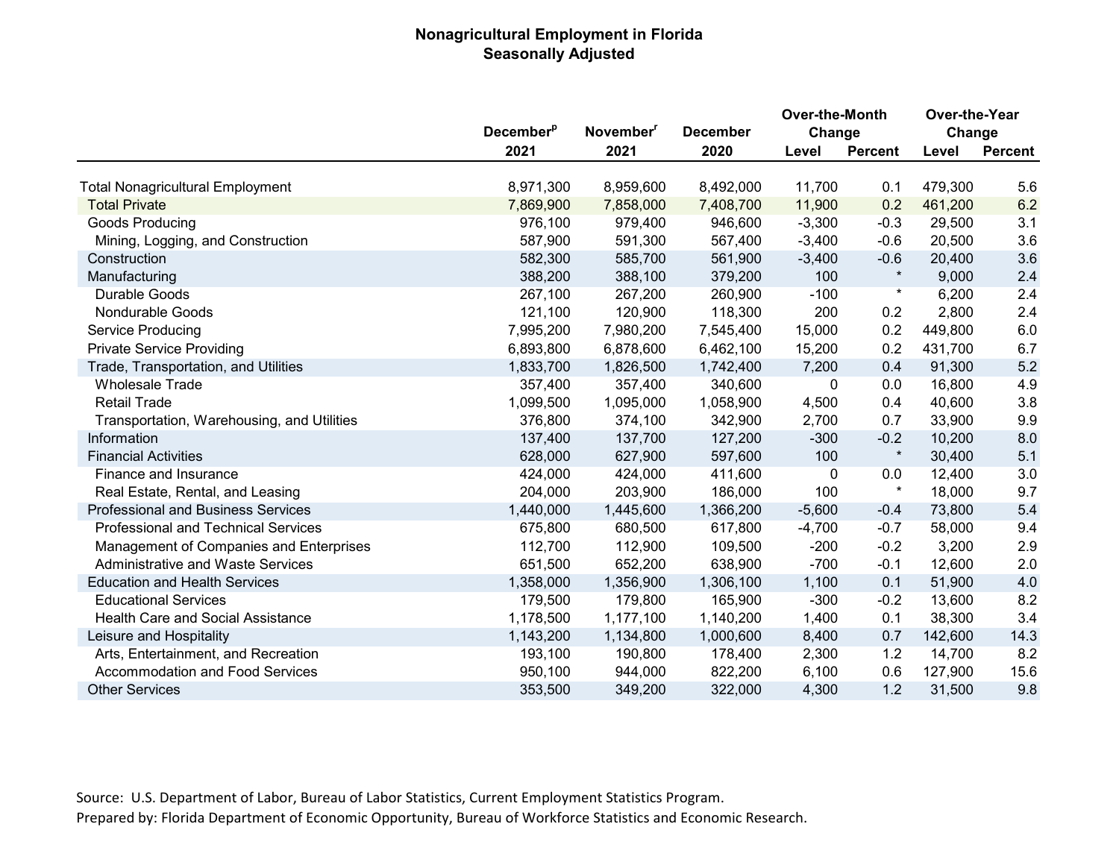## **Nonagricultural Employment in Florida Seasonally Adjusted**

|                                            |                              |                       |                 | Over-the-Month |                | Over-the-Year |                |
|--------------------------------------------|------------------------------|-----------------------|-----------------|----------------|----------------|---------------|----------------|
|                                            | <b>December</b> <sup>p</sup> | November <sup>"</sup> | <b>December</b> | Change         |                | Change        |                |
|                                            | 2021                         | 2021                  | 2020            | Level          | <b>Percent</b> | Level         | <b>Percent</b> |
| <b>Total Nonagricultural Employment</b>    | 8,971,300                    | 8,959,600             | 8,492,000       | 11,700         | 0.1            | 479,300       | 5.6            |
| <b>Total Private</b>                       | 7,869,900                    | 7,858,000             | 7,408,700       | 11,900         | 0.2            | 461,200       | 6.2            |
| Goods Producing                            | 976,100                      | 979,400               | 946,600         | $-3,300$       | $-0.3$         | 29,500        | 3.1            |
| Mining, Logging, and Construction          | 587,900                      | 591,300               | 567,400         | $-3,400$       | $-0.6$         | 20,500        | 3.6            |
| Construction                               | 582,300                      | 585,700               | 561,900         | $-3,400$       | $-0.6$         | 20,400        | 3.6            |
| Manufacturing                              | 388,200                      | 388,100               | 379,200         | 100            |                | 9,000         | 2.4            |
| Durable Goods                              | 267,100                      | 267,200               | 260,900         | $-100$         | $^\star$       | 6,200         | 2.4            |
| Nondurable Goods                           | 121,100                      | 120,900               | 118,300         | 200            | 0.2            | 2,800         | 2.4            |
| Service Producing                          | 7,995,200                    | 7,980,200             | 7,545,400       | 15,000         | 0.2            | 449,800       | 6.0            |
| <b>Private Service Providing</b>           | 6,893,800                    | 6,878,600             | 6,462,100       | 15,200         | 0.2            | 431,700       | 6.7            |
| Trade, Transportation, and Utilities       | 1,833,700                    | 1,826,500             | 1,742,400       | 7,200          | 0.4            | 91,300        | 5.2            |
| <b>Wholesale Trade</b>                     | 357,400                      | 357,400               | 340,600         | 0              | 0.0            | 16,800        | 4.9            |
| <b>Retail Trade</b>                        | 1,099,500                    | 1,095,000             | 1,058,900       | 4,500          | 0.4            | 40,600        | 3.8            |
| Transportation, Warehousing, and Utilities | 376,800                      | 374,100               | 342,900         | 2,700          | 0.7            | 33,900        | 9.9            |
| Information                                | 137,400                      | 137,700               | 127,200         | $-300$         | $-0.2$         | 10,200        | 8.0            |
| <b>Financial Activities</b>                | 628,000                      | 627,900               | 597,600         | 100            | $\star$        | 30,400        | 5.1            |
| Finance and Insurance                      | 424,000                      | 424,000               | 411,600         | 0              | 0.0            | 12,400        | 3.0            |
| Real Estate, Rental, and Leasing           | 204,000                      | 203,900               | 186,000         | 100            | $\star$        | 18,000        | 9.7            |
| <b>Professional and Business Services</b>  | 1,440,000                    | 1,445,600             | 1,366,200       | $-5,600$       | $-0.4$         | 73,800        | 5.4            |
| <b>Professional and Technical Services</b> | 675,800                      | 680,500               | 617,800         | $-4,700$       | $-0.7$         | 58,000        | 9.4            |
| Management of Companies and Enterprises    | 112,700                      | 112,900               | 109,500         | $-200$         | $-0.2$         | 3,200         | 2.9            |
| <b>Administrative and Waste Services</b>   | 651,500                      | 652,200               | 638,900         | $-700$         | $-0.1$         | 12,600        | 2.0            |
| <b>Education and Health Services</b>       | 1,358,000                    | 1,356,900             | 1,306,100       | 1,100          | 0.1            | 51,900        | 4.0            |
| <b>Educational Services</b>                | 179,500                      | 179,800               | 165,900         | $-300$         | $-0.2$         | 13,600        | 8.2            |
| <b>Health Care and Social Assistance</b>   | 1,178,500                    | 1,177,100             | 1,140,200       | 1,400          | 0.1            | 38,300        | 3.4            |
| Leisure and Hospitality                    | 1,143,200                    | 1,134,800             | 1,000,600       | 8,400          | 0.7            | 142,600       | 14.3           |
| Arts, Entertainment, and Recreation        | 193,100                      | 190,800               | 178,400         | 2,300          | 1.2            | 14,700        | 8.2            |
| <b>Accommodation and Food Services</b>     | 950,100                      | 944,000               | 822,200         | 6,100          | 0.6            | 127,900       | 15.6           |
| <b>Other Services</b>                      | 353,500                      | 349,200               | 322,000         | 4,300          | 1.2            | 31,500        | 9.8            |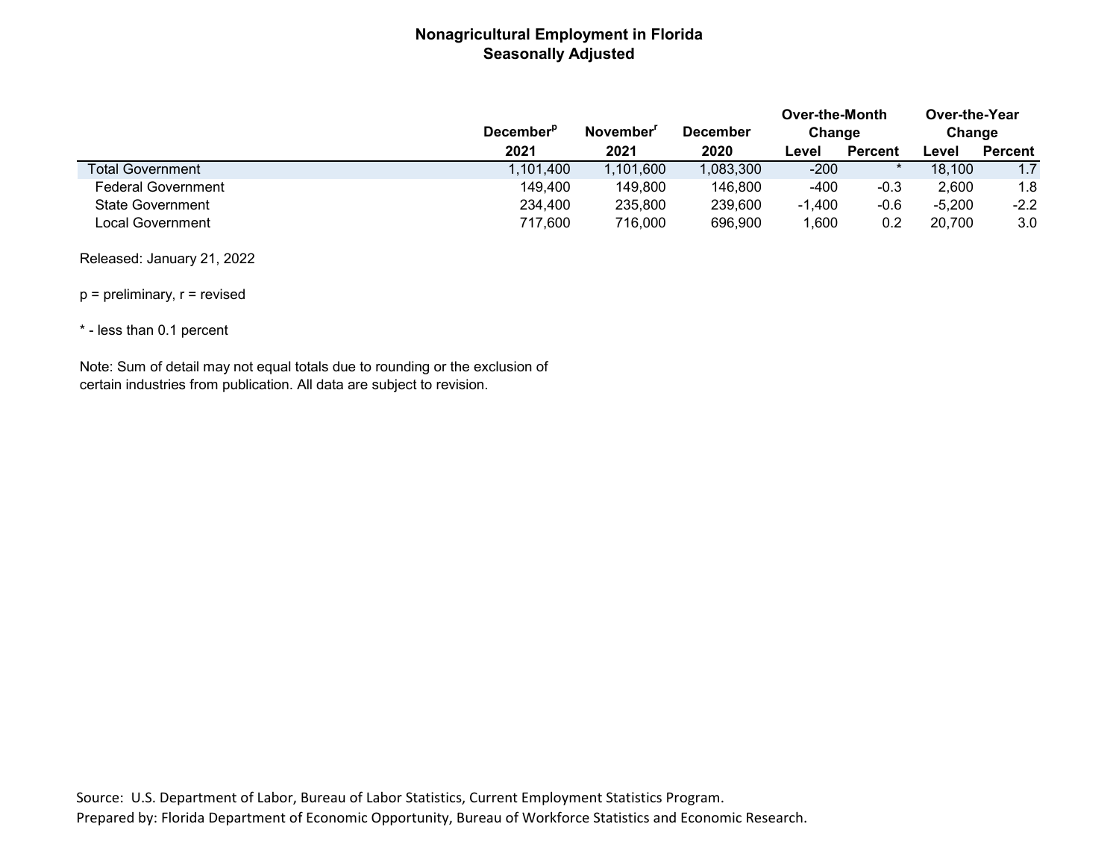## **Nonagricultural Employment in Florida Seasonally Adjusted**

|                           | December <sup>P</sup> | November  | December  | Over-the-Month<br>Change |                | Over-the-Year<br>Change |                |
|---------------------------|-----------------------|-----------|-----------|--------------------------|----------------|-------------------------|----------------|
|                           | 2021                  | 2021      | 2020      | Level                    | <b>Percent</b> | ∟evel                   | <b>Percent</b> |
| <b>Total Government</b>   | 1,101,400             | 1,101,600 | 1,083,300 | -200                     |                | 18,100                  | 1.7            |
| <b>Federal Government</b> | 149.400               | 149,800   | 146,800   | -400                     | $-0.3$         | 2,600                   | 1.8            |
| <b>State Government</b>   | 234.400               | 235,800   | 239,600   | $-1,400$                 | $-0.6$         | $-5.200$                | $-2.2$         |
| Local Government          | 717,600               | 716,000   | 696,900   | ,600                     | 0.2            | 20.700                  | 3.0            |

Released: January 21, 2022

 $p =$  preliminary,  $r =$  revised

\* - less than 0.1 percent

Note: Sum of detail may not equal totals due to rounding or the exclusion of certain industries from publication. All data are subject to revision.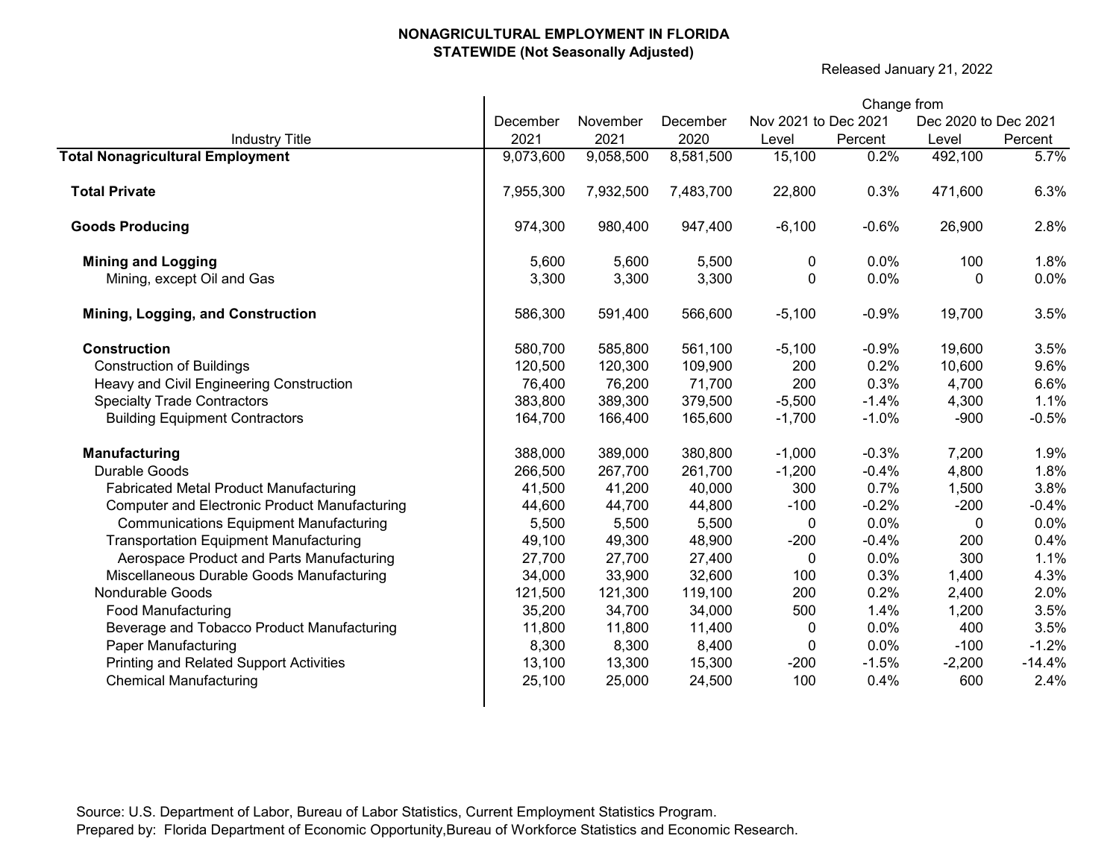Released January 21, 2022

|                                                      |           |           |           | Change from          |         |                      |          |
|------------------------------------------------------|-----------|-----------|-----------|----------------------|---------|----------------------|----------|
|                                                      | December  | November  | December  | Nov 2021 to Dec 2021 |         | Dec 2020 to Dec 2021 |          |
| <b>Industry Title</b>                                | 2021      | 2021      | 2020      | Level                | Percent | Level                | Percent  |
| <b>Total Nonagricultural Employment</b>              | 9,073,600 | 9,058,500 | 8,581,500 | 15,100               | 0.2%    | 492,100              | 5.7%     |
| <b>Total Private</b>                                 | 7,955,300 | 7,932,500 | 7,483,700 | 22,800               | 0.3%    | 471,600              | 6.3%     |
| <b>Goods Producing</b>                               | 974,300   | 980,400   | 947,400   | $-6,100$             | $-0.6%$ | 26,900               | 2.8%     |
| <b>Mining and Logging</b>                            | 5,600     | 5,600     | 5,500     | 0                    | 0.0%    | 100                  | 1.8%     |
| Mining, except Oil and Gas                           | 3,300     | 3,300     | 3,300     | 0                    | 0.0%    | 0                    | 0.0%     |
| Mining, Logging, and Construction                    | 586,300   | 591,400   | 566,600   | $-5,100$             | $-0.9%$ | 19,700               | 3.5%     |
| <b>Construction</b>                                  | 580,700   | 585,800   | 561,100   | $-5,100$             | $-0.9%$ | 19,600               | 3.5%     |
| <b>Construction of Buildings</b>                     | 120,500   | 120,300   | 109,900   | 200                  | 0.2%    | 10,600               | 9.6%     |
| Heavy and Civil Engineering Construction             | 76,400    | 76,200    | 71,700    | 200                  | 0.3%    | 4,700                | 6.6%     |
| <b>Specialty Trade Contractors</b>                   | 383,800   | 389,300   | 379,500   | $-5,500$             | $-1.4%$ | 4,300                | 1.1%     |
| <b>Building Equipment Contractors</b>                | 164,700   | 166,400   | 165,600   | $-1,700$             | $-1.0%$ | $-900$               | $-0.5%$  |
| Manufacturing                                        | 388,000   | 389,000   | 380,800   | $-1,000$             | $-0.3%$ | 7,200                | 1.9%     |
| Durable Goods                                        | 266,500   | 267,700   | 261,700   | $-1,200$             | $-0.4%$ | 4,800                | 1.8%     |
| <b>Fabricated Metal Product Manufacturing</b>        | 41,500    | 41,200    | 40,000    | 300                  | 0.7%    | 1,500                | 3.8%     |
| <b>Computer and Electronic Product Manufacturing</b> | 44,600    | 44,700    | 44,800    | $-100$               | $-0.2%$ | $-200$               | $-0.4%$  |
| <b>Communications Equipment Manufacturing</b>        | 5,500     | 5,500     | 5,500     | 0                    | 0.0%    | $\pmb{0}$            | 0.0%     |
| <b>Transportation Equipment Manufacturing</b>        | 49,100    | 49,300    | 48,900    | $-200$               | $-0.4%$ | 200                  | 0.4%     |
| Aerospace Product and Parts Manufacturing            | 27,700    | 27,700    | 27,400    | 0                    | 0.0%    | 300                  | 1.1%     |
| Miscellaneous Durable Goods Manufacturing            | 34,000    | 33,900    | 32,600    | 100                  | 0.3%    | 1,400                | 4.3%     |
| Nondurable Goods                                     | 121,500   | 121,300   | 119,100   | 200                  | 0.2%    | 2,400                | 2.0%     |
| <b>Food Manufacturing</b>                            | 35,200    | 34,700    | 34,000    | 500                  | 1.4%    | 1,200                | 3.5%     |
| Beverage and Tobacco Product Manufacturing           | 11,800    | 11,800    | 11,400    | $\mathbf{0}$         | 0.0%    | 400                  | 3.5%     |
| <b>Paper Manufacturing</b>                           | 8,300     | 8,300     | 8,400     | 0                    | 0.0%    | $-100$               | $-1.2%$  |
| <b>Printing and Related Support Activities</b>       | 13,100    | 13,300    | 15,300    | $-200$               | $-1.5%$ | $-2,200$             | $-14.4%$ |
| <b>Chemical Manufacturing</b>                        | 25,100    | 25,000    | 24,500    | 100                  | 0.4%    | 600                  | 2.4%     |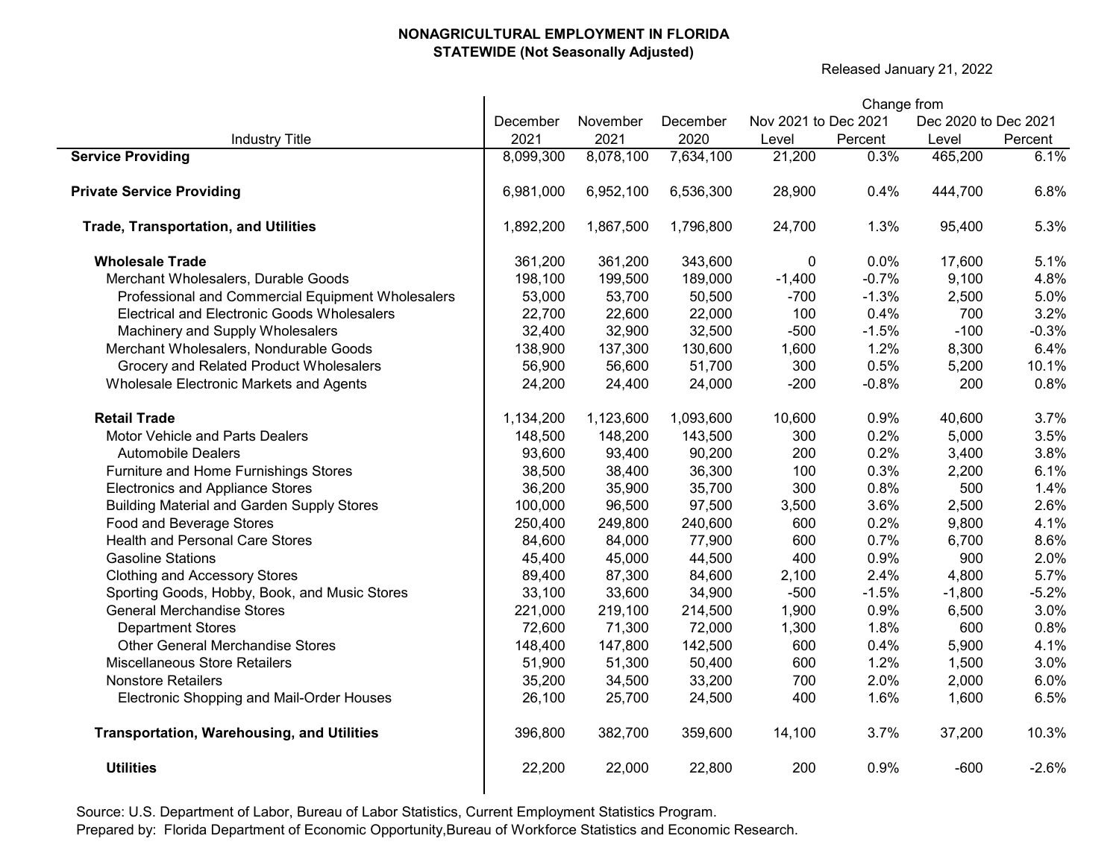$\mathbf{r}$ 

Released January 21, 2022

|                                                   |           |           |           |                      | Change from |                      |         |  |  |  |
|---------------------------------------------------|-----------|-----------|-----------|----------------------|-------------|----------------------|---------|--|--|--|
|                                                   | December  | November  | December  | Nov 2021 to Dec 2021 |             | Dec 2020 to Dec 2021 |         |  |  |  |
| <b>Industry Title</b>                             | 2021      | 2021      | 2020      | Level                | Percent     | Level                | Percent |  |  |  |
| <b>Service Providing</b>                          | 8,099,300 | 8,078,100 | 7,634,100 | 21,200               | 0.3%        | 465,200              | 6.1%    |  |  |  |
| <b>Private Service Providing</b>                  | 6,981,000 | 6,952,100 | 6,536,300 | 28,900               | 0.4%        | 444,700              | 6.8%    |  |  |  |
| <b>Trade, Transportation, and Utilities</b>       | 1,892,200 | 1,867,500 | 1,796,800 | 24,700               | 1.3%        | 95,400               | 5.3%    |  |  |  |
| <b>Wholesale Trade</b>                            | 361,200   | 361,200   | 343,600   | 0                    | 0.0%        | 17,600               | 5.1%    |  |  |  |
| Merchant Wholesalers, Durable Goods               | 198,100   | 199,500   | 189,000   | $-1,400$             | $-0.7%$     | 9,100                | 4.8%    |  |  |  |
| Professional and Commercial Equipment Wholesalers | 53,000    | 53,700    | 50,500    | $-700$               | $-1.3%$     | 2,500                | 5.0%    |  |  |  |
| Electrical and Electronic Goods Wholesalers       | 22,700    | 22,600    | 22,000    | 100                  | 0.4%        | 700                  | 3.2%    |  |  |  |
| Machinery and Supply Wholesalers                  | 32,400    | 32,900    | 32,500    | $-500$               | $-1.5%$     | $-100$               | $-0.3%$ |  |  |  |
| Merchant Wholesalers, Nondurable Goods            | 138,900   | 137,300   | 130,600   | 1,600                | 1.2%        | 8,300                | 6.4%    |  |  |  |
| Grocery and Related Product Wholesalers           | 56,900    | 56,600    | 51,700    | 300                  | 0.5%        | 5,200                | 10.1%   |  |  |  |
| Wholesale Electronic Markets and Agents           | 24,200    | 24,400    | 24,000    | $-200$               | $-0.8%$     | 200                  | 0.8%    |  |  |  |
| <b>Retail Trade</b>                               | 1,134,200 | 1,123,600 | 1,093,600 | 10,600               | 0.9%        | 40,600               | 3.7%    |  |  |  |
| Motor Vehicle and Parts Dealers                   | 148,500   | 148,200   | 143,500   | 300                  | 0.2%        | 5,000                | 3.5%    |  |  |  |
| <b>Automobile Dealers</b>                         | 93,600    | 93,400    | 90,200    | 200                  | 0.2%        | 3,400                | 3.8%    |  |  |  |
| Furniture and Home Furnishings Stores             | 38,500    | 38,400    | 36,300    | 100                  | 0.3%        | 2,200                | 6.1%    |  |  |  |
| <b>Electronics and Appliance Stores</b>           | 36,200    | 35,900    | 35,700    | 300                  | 0.8%        | 500                  | 1.4%    |  |  |  |
| <b>Building Material and Garden Supply Stores</b> | 100,000   | 96,500    | 97,500    | 3,500                | 3.6%        | 2,500                | 2.6%    |  |  |  |
| Food and Beverage Stores                          | 250,400   | 249,800   | 240,600   | 600                  | 0.2%        | 9,800                | 4.1%    |  |  |  |
| <b>Health and Personal Care Stores</b>            | 84,600    | 84,000    | 77,900    | 600                  | 0.7%        | 6,700                | 8.6%    |  |  |  |
| <b>Gasoline Stations</b>                          | 45,400    | 45,000    | 44,500    | 400                  | 0.9%        | 900                  | 2.0%    |  |  |  |
| <b>Clothing and Accessory Stores</b>              | 89,400    | 87,300    | 84,600    | 2,100                | 2.4%        | 4,800                | 5.7%    |  |  |  |
| Sporting Goods, Hobby, Book, and Music Stores     | 33,100    | 33,600    | 34,900    | $-500$               | $-1.5%$     | $-1,800$             | $-5.2%$ |  |  |  |
| <b>General Merchandise Stores</b>                 | 221,000   | 219,100   | 214,500   | 1,900                | 0.9%        | 6,500                | 3.0%    |  |  |  |
| <b>Department Stores</b>                          | 72,600    | 71,300    | 72,000    | 1,300                | 1.8%        | 600                  | 0.8%    |  |  |  |
| <b>Other General Merchandise Stores</b>           | 148,400   | 147,800   | 142,500   | 600                  | 0.4%        | 5,900                | 4.1%    |  |  |  |
| Miscellaneous Store Retailers                     | 51,900    | 51,300    | 50,400    | 600                  | 1.2%        | 1,500                | 3.0%    |  |  |  |
| <b>Nonstore Retailers</b>                         | 35,200    | 34,500    | 33,200    | 700                  | 2.0%        | 2,000                | 6.0%    |  |  |  |
| Electronic Shopping and Mail-Order Houses         | 26,100    | 25,700    | 24,500    | 400                  | 1.6%        | 1,600                | 6.5%    |  |  |  |
| <b>Transportation, Warehousing, and Utilities</b> | 396,800   | 382,700   | 359,600   | 14,100               | 3.7%        | 37,200               | 10.3%   |  |  |  |
| <b>Utilities</b>                                  | 22,200    | 22,000    | 22,800    | 200                  | 0.9%        | $-600$               | $-2.6%$ |  |  |  |
|                                                   |           |           |           |                      |             |                      |         |  |  |  |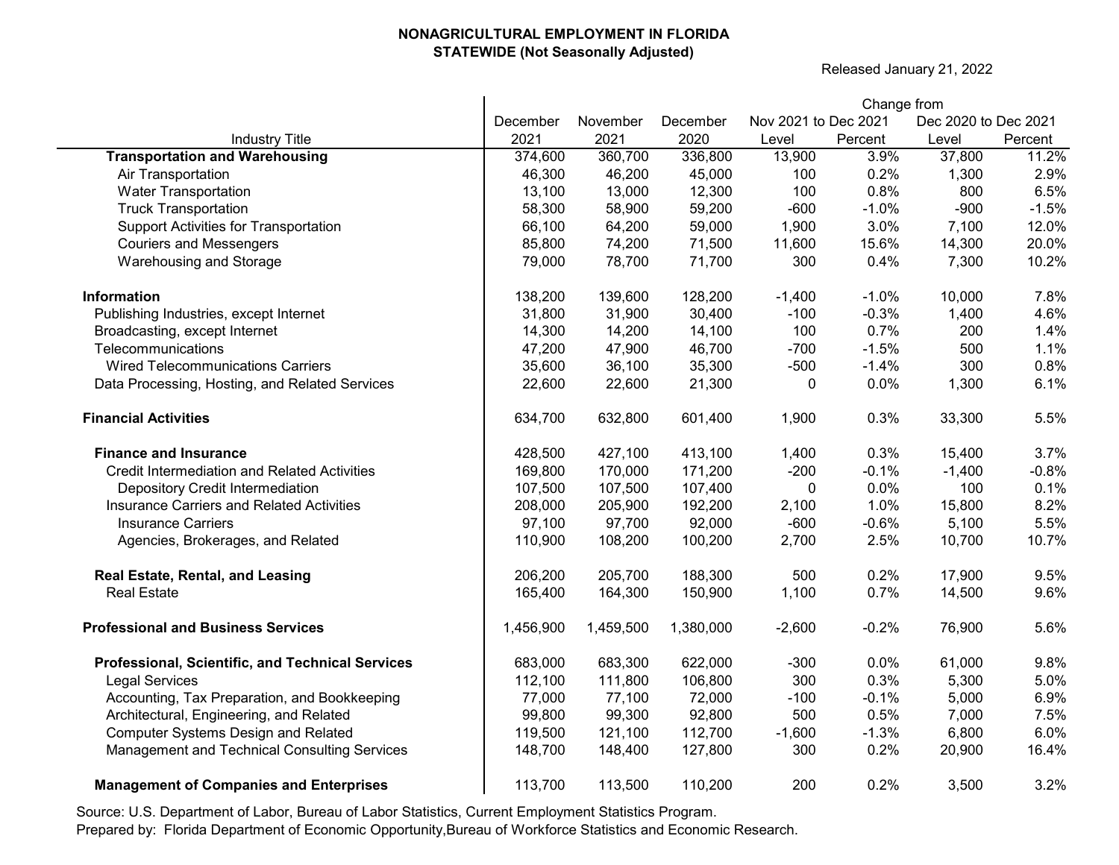Released January 21, 2022

|                                                     |           | Change from |           |                      |         |                      |         |  |  |  |  |
|-----------------------------------------------------|-----------|-------------|-----------|----------------------|---------|----------------------|---------|--|--|--|--|
|                                                     | December  | November    | December  | Nov 2021 to Dec 2021 |         | Dec 2020 to Dec 2021 |         |  |  |  |  |
| <b>Industry Title</b>                               | 2021      | 2021        | 2020      | Level                | Percent | Level                | Percent |  |  |  |  |
| <b>Transportation and Warehousing</b>               | 374,600   | 360,700     | 336,800   | 13,900               | 3.9%    | 37,800               | 11.2%   |  |  |  |  |
| Air Transportation                                  | 46,300    | 46,200      | 45,000    | 100                  | 0.2%    | 1,300                | 2.9%    |  |  |  |  |
| <b>Water Transportation</b>                         | 13,100    | 13,000      | 12,300    | 100                  | 0.8%    | 800                  | 6.5%    |  |  |  |  |
| <b>Truck Transportation</b>                         | 58,300    | 58,900      | 59,200    | $-600$               | $-1.0%$ | $-900$               | $-1.5%$ |  |  |  |  |
| <b>Support Activities for Transportation</b>        | 66,100    | 64,200      | 59,000    | 1,900                | 3.0%    | 7,100                | 12.0%   |  |  |  |  |
| <b>Couriers and Messengers</b>                      | 85,800    | 74,200      | 71,500    | 11,600               | 15.6%   | 14,300               | 20.0%   |  |  |  |  |
| Warehousing and Storage                             | 79,000    | 78,700      | 71,700    | 300                  | 0.4%    | 7,300                | 10.2%   |  |  |  |  |
| Information                                         | 138,200   | 139,600     | 128,200   | $-1,400$             | $-1.0%$ | 10,000               | 7.8%    |  |  |  |  |
| Publishing Industries, except Internet              | 31,800    | 31,900      | 30,400    | $-100$               | $-0.3%$ | 1,400                | 4.6%    |  |  |  |  |
| Broadcasting, except Internet                       | 14,300    | 14,200      | 14,100    | 100                  | 0.7%    | 200                  | 1.4%    |  |  |  |  |
| Telecommunications                                  | 47,200    | 47,900      | 46,700    | $-700$               | $-1.5%$ | 500                  | 1.1%    |  |  |  |  |
| <b>Wired Telecommunications Carriers</b>            | 35,600    | 36,100      | 35,300    | $-500$               | $-1.4%$ | 300                  | 0.8%    |  |  |  |  |
| Data Processing, Hosting, and Related Services      | 22,600    | 22,600      | 21,300    | 0                    | 0.0%    | 1,300                | 6.1%    |  |  |  |  |
| <b>Financial Activities</b>                         | 634,700   | 632,800     | 601,400   | 1,900                | 0.3%    | 33,300               | 5.5%    |  |  |  |  |
| <b>Finance and Insurance</b>                        | 428,500   | 427,100     | 413,100   | 1,400                | 0.3%    | 15,400               | 3.7%    |  |  |  |  |
| <b>Credit Intermediation and Related Activities</b> | 169,800   | 170,000     | 171,200   | $-200$               | $-0.1%$ | $-1,400$             | $-0.8%$ |  |  |  |  |
| Depository Credit Intermediation                    | 107,500   | 107,500     | 107,400   | 0                    | 0.0%    | 100                  | 0.1%    |  |  |  |  |
| <b>Insurance Carriers and Related Activities</b>    | 208,000   | 205,900     | 192,200   | 2,100                | 1.0%    | 15,800               | 8.2%    |  |  |  |  |
| <b>Insurance Carriers</b>                           | 97,100    | 97,700      | 92,000    | $-600$               | $-0.6%$ | 5,100                | 5.5%    |  |  |  |  |
| Agencies, Brokerages, and Related                   | 110,900   | 108,200     | 100,200   | 2,700                | 2.5%    | 10,700               | 10.7%   |  |  |  |  |
| Real Estate, Rental, and Leasing                    | 206,200   | 205,700     | 188,300   | 500                  | 0.2%    | 17,900               | 9.5%    |  |  |  |  |
| <b>Real Estate</b>                                  | 165,400   | 164,300     | 150,900   | 1,100                | 0.7%    | 14,500               | 9.6%    |  |  |  |  |
| <b>Professional and Business Services</b>           | 1,456,900 | 1,459,500   | 1,380,000 | $-2,600$             | $-0.2%$ | 76,900               | 5.6%    |  |  |  |  |
| Professional, Scientific, and Technical Services    | 683,000   | 683,300     | 622,000   | $-300$               | 0.0%    | 61,000               | 9.8%    |  |  |  |  |
| <b>Legal Services</b>                               | 112,100   | 111,800     | 106,800   | 300                  | 0.3%    | 5,300                | 5.0%    |  |  |  |  |
| Accounting, Tax Preparation, and Bookkeeping        | 77,000    | 77,100      | 72,000    | $-100$               | $-0.1%$ | 5,000                | 6.9%    |  |  |  |  |
| Architectural, Engineering, and Related             | 99,800    | 99,300      | 92,800    | 500                  | 0.5%    | 7,000                | 7.5%    |  |  |  |  |
| <b>Computer Systems Design and Related</b>          | 119,500   | 121,100     | 112,700   | $-1,600$             | $-1.3%$ | 6,800                | 6.0%    |  |  |  |  |
| Management and Technical Consulting Services        | 148,700   | 148,400     | 127,800   | 300                  | 0.2%    | 20,900               | 16.4%   |  |  |  |  |
| <b>Management of Companies and Enterprises</b>      | 113,700   | 113,500     | 110,200   | 200                  | 0.2%    | 3,500                | 3.2%    |  |  |  |  |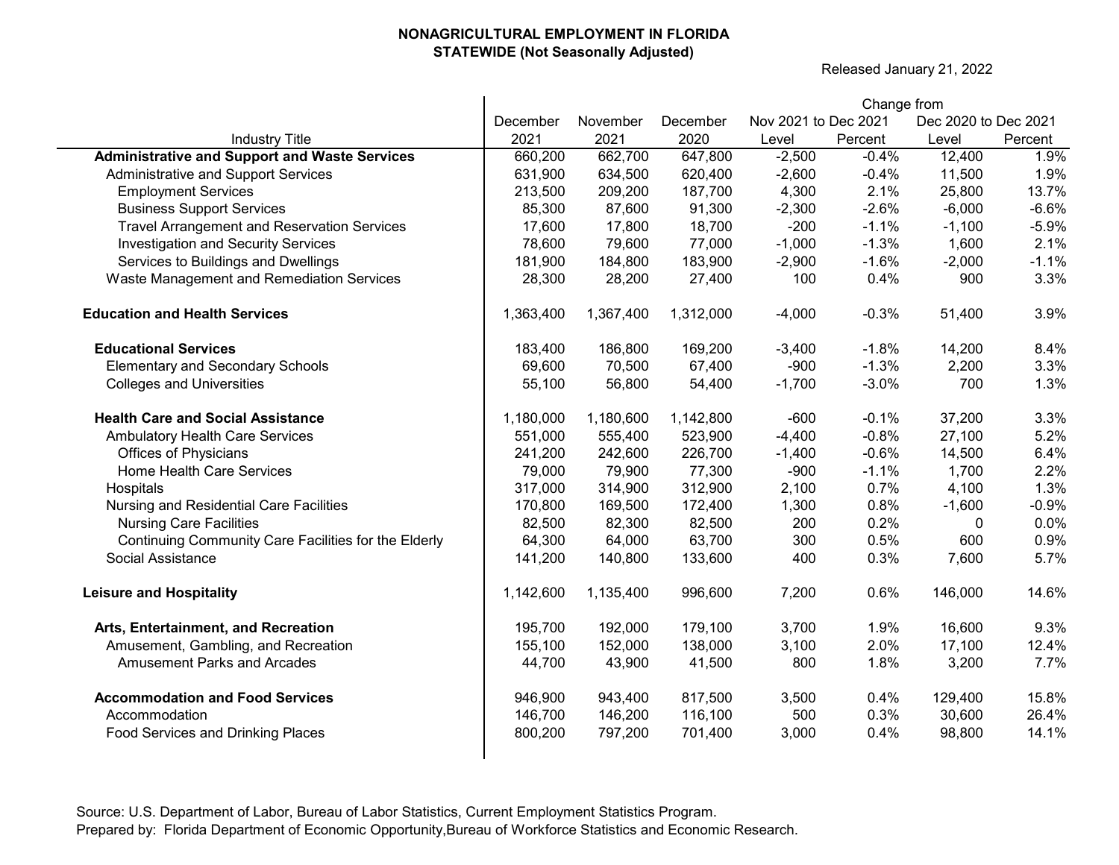Released January 21, 2022

|                                                      |           |           |           |                      | Change from |                      |         |
|------------------------------------------------------|-----------|-----------|-----------|----------------------|-------------|----------------------|---------|
|                                                      | December  | November  | December  | Nov 2021 to Dec 2021 |             | Dec 2020 to Dec 2021 |         |
| <b>Industry Title</b>                                | 2021      | 2021      | 2020      | Level                | Percent     | Level                | Percent |
| <b>Administrative and Support and Waste Services</b> | 660,200   | 662,700   | 647,800   | $-2,500$             | $-0.4%$     | 12,400               | 1.9%    |
| Administrative and Support Services                  | 631,900   | 634,500   | 620,400   | $-2,600$             | $-0.4%$     | 11,500               | 1.9%    |
| <b>Employment Services</b>                           | 213,500   | 209,200   | 187,700   | 4,300                | 2.1%        | 25,800               | 13.7%   |
| <b>Business Support Services</b>                     | 85,300    | 87,600    | 91,300    | $-2,300$             | $-2.6%$     | $-6,000$             | $-6.6%$ |
| <b>Travel Arrangement and Reservation Services</b>   | 17,600    | 17,800    | 18,700    | $-200$               | $-1.1%$     | $-1,100$             | $-5.9%$ |
| <b>Investigation and Security Services</b>           | 78,600    | 79,600    | 77,000    | $-1,000$             | $-1.3%$     | 1,600                | 2.1%    |
| Services to Buildings and Dwellings                  | 181,900   | 184,800   | 183,900   | $-2,900$             | $-1.6%$     | $-2,000$             | $-1.1%$ |
| Waste Management and Remediation Services            | 28,300    | 28,200    | 27,400    | 100                  | 0.4%        | 900                  | 3.3%    |
| <b>Education and Health Services</b>                 | 1,363,400 | 1,367,400 | 1,312,000 | $-4,000$             | $-0.3%$     | 51,400               | 3.9%    |
| <b>Educational Services</b>                          | 183,400   | 186,800   | 169,200   | $-3,400$             | $-1.8%$     | 14,200               | 8.4%    |
| <b>Elementary and Secondary Schools</b>              | 69,600    | 70,500    | 67,400    | $-900$               | $-1.3%$     | 2,200                | 3.3%    |
| <b>Colleges and Universities</b>                     | 55,100    | 56,800    | 54,400    | $-1,700$             | $-3.0%$     | 700                  | 1.3%    |
| <b>Health Care and Social Assistance</b>             | 1,180,000 | 1,180,600 | 1,142,800 | $-600$               | $-0.1%$     | 37,200               | 3.3%    |
| <b>Ambulatory Health Care Services</b>               | 551,000   | 555,400   | 523,900   | $-4,400$             | $-0.8%$     | 27,100               | 5.2%    |
| <b>Offices of Physicians</b>                         | 241,200   | 242,600   | 226,700   | $-1,400$             | $-0.6%$     | 14,500               | 6.4%    |
| Home Health Care Services                            | 79,000    | 79,900    | 77,300    | $-900$               | $-1.1%$     | 1,700                | 2.2%    |
| Hospitals                                            | 317,000   | 314,900   | 312,900   | 2,100                | 0.7%        | 4,100                | 1.3%    |
| Nursing and Residential Care Facilities              | 170,800   | 169,500   | 172,400   | 1,300                | 0.8%        | $-1,600$             | $-0.9%$ |
| <b>Nursing Care Facilities</b>                       | 82,500    | 82,300    | 82,500    | 200                  | 0.2%        | 0                    | 0.0%    |
| Continuing Community Care Facilities for the Elderly | 64,300    | 64,000    | 63,700    | 300                  | 0.5%        | 600                  | 0.9%    |
| Social Assistance                                    | 141,200   | 140,800   | 133,600   | 400                  | 0.3%        | 7,600                | 5.7%    |
| <b>Leisure and Hospitality</b>                       | 1,142,600 | 1,135,400 | 996,600   | 7,200                | 0.6%        | 146,000              | 14.6%   |
| Arts, Entertainment, and Recreation                  | 195,700   | 192,000   | 179,100   | 3,700                | 1.9%        | 16,600               | 9.3%    |
| Amusement, Gambling, and Recreation                  | 155,100   | 152,000   | 138,000   | 3,100                | 2.0%        | 17,100               | 12.4%   |
| <b>Amusement Parks and Arcades</b>                   | 44,700    | 43,900    | 41,500    | 800                  | 1.8%        | 3,200                | 7.7%    |
| <b>Accommodation and Food Services</b>               | 946,900   | 943,400   | 817,500   | 3,500                | 0.4%        | 129,400              | 15.8%   |
| Accommodation                                        | 146,700   | 146,200   | 116,100   | 500                  | 0.3%        | 30,600               | 26.4%   |
| Food Services and Drinking Places                    | 800,200   | 797,200   | 701,400   | 3,000                | 0.4%        | 98,800               | 14.1%   |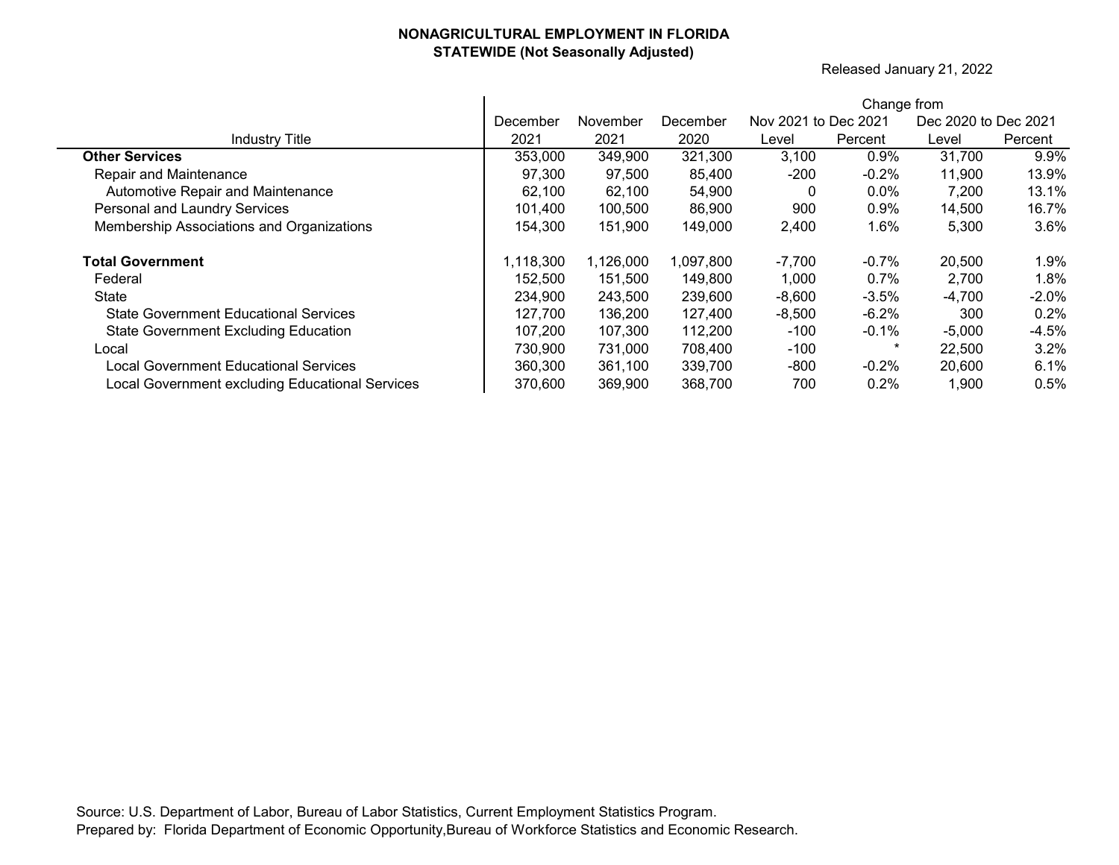Released January 21, 2022

|                                                 |           |           |           |                      | Change from |                      |         |
|-------------------------------------------------|-----------|-----------|-----------|----------------------|-------------|----------------------|---------|
|                                                 | December  | November  | December  | Nov 2021 to Dec 2021 |             | Dec 2020 to Dec 2021 |         |
| <b>Industry Title</b>                           | 2021      | 2021      | 2020      | Level                | Percent     | Level                | Percent |
| <b>Other Services</b>                           | 353,000   | 349,900   | 321,300   | 3,100                | $0.9\%$     | 31,700               | 9.9%    |
| Repair and Maintenance                          | 97,300    | 97,500    | 85,400    | $-200$               | -0.2%       | 11,900               | 13.9%   |
| Automotive Repair and Maintenance               | 62,100    | 62,100    | 54,900    | 0                    | $0.0\%$     | 7,200                | 13.1%   |
| Personal and Laundry Services                   | 101.400   | 100,500   | 86,900    | 900                  | 0.9%        | 14,500               | 16.7%   |
| Membership Associations and Organizations       | 154,300   | 151,900   | 149,000   | 2,400                | 1.6%        | 5,300                | 3.6%    |
| <b>Total Government</b>                         | 1,118,300 | 1,126,000 | 1,097,800 | $-7,700$             | $-0.7%$     | 20,500               | 1.9%    |
| Federal                                         | 152,500   | 151,500   | 149,800   | 1,000                | 0.7%        | 2,700                | 1.8%    |
| State                                           | 234,900   | 243,500   | 239,600   | $-8,600$             | $-3.5\%$    | $-4,700$             | $-2.0%$ |
| <b>State Government Educational Services</b>    | 127,700   | 136,200   | 127,400   | $-8,500$             | $-6.2\%$    | 300                  | 0.2%    |
| <b>State Government Excluding Education</b>     | 107.200   | 107,300   | 112,200   | -100                 | $-0.1\%$    | $-5,000$             | $-4.5%$ |
| Local                                           | 730,900   | 731,000   | 708,400   | $-100$               | *           | 22,500               | 3.2%    |
| Local Government Educational Services           | 360,300   | 361,100   | 339,700   | -800                 | $-0.2%$     | 20,600               | 6.1%    |
| Local Government excluding Educational Services | 370,600   | 369,900   | 368,700   | 700                  | 0.2%        | 1,900                | 0.5%    |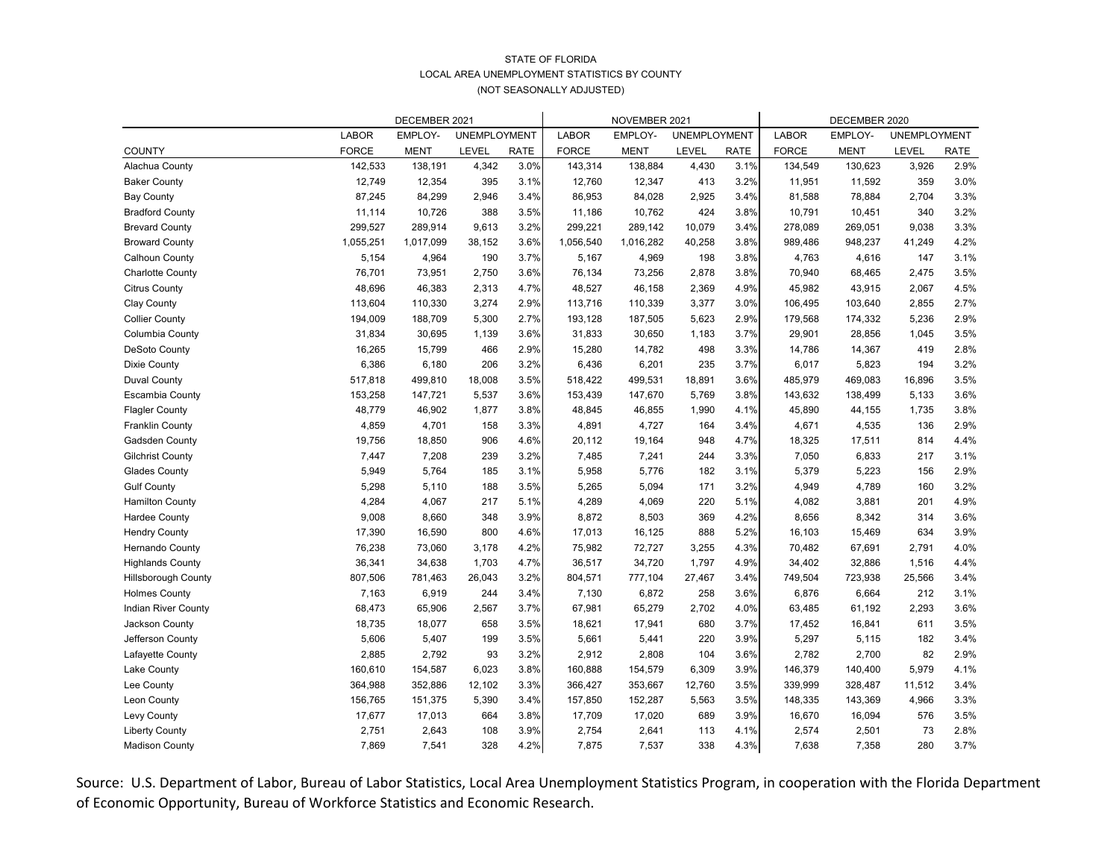|                            | DECEMBER 2021 |             |                     |             |              | NOVEMBER 2021 |                     | DECEMBER 2020 |              |             |                     |             |
|----------------------------|---------------|-------------|---------------------|-------------|--------------|---------------|---------------------|---------------|--------------|-------------|---------------------|-------------|
|                            | <b>LABOR</b>  | EMPLOY-     | <b>UNEMPLOYMENT</b> |             | <b>LABOR</b> | EMPLOY-       | <b>UNEMPLOYMENT</b> |               | <b>LABOR</b> | EMPLOY-     | <b>UNEMPLOYMENT</b> |             |
| <b>COUNTY</b>              | <b>FORCE</b>  | <b>MENT</b> | <b>LEVEL</b>        | <b>RATE</b> | <b>FORCE</b> | <b>MENT</b>   | LEVEL               | <b>RATE</b>   | <b>FORCE</b> | <b>MENT</b> | <b>LEVEL</b>        | <b>RATE</b> |
| Alachua County             | 142,533       | 138,191     | 4,342               | 3.0%        | 143,314      | 138,884       | 4,430               | 3.1%          | 134,549      | 130,623     | 3,926               | 2.9%        |
| <b>Baker County</b>        | 12,749        | 12,354      | 395                 | 3.1%        | 12,760       | 12,347        | 413                 | 3.2%          | 11,951       | 11,592      | 359                 | 3.0%        |
| <b>Bay County</b>          | 87,245        | 84,299      | 2,946               | 3.4%        | 86,953       | 84,028        | 2,925               | 3.4%          | 81,588       | 78,884      | 2,704               | 3.3%        |
| <b>Bradford County</b>     | 11,114        | 10,726      | 388                 | 3.5%        | 11,186       | 10,762        | 424                 | 3.8%          | 10,791       | 10,451      | 340                 | 3.2%        |
| <b>Brevard County</b>      | 299,527       | 289,914     | 9,613               | 3.2%        | 299,221      | 289,142       | 10,079              | 3.4%          | 278,089      | 269,051     | 9,038               | 3.3%        |
| <b>Broward County</b>      | 1,055,251     | 1,017,099   | 38,152              | 3.6%        | 1,056,540    | 1,016,282     | 40,258              | 3.8%          | 989,486      | 948,237     | 41,249              | 4.2%        |
| Calhoun County             | 5,154         | 4,964       | 190                 | 3.7%        | 5,167        | 4,969         | 198                 | 3.8%          | 4,763        | 4,616       | 147                 | 3.1%        |
| <b>Charlotte County</b>    | 76,701        | 73,951      | 2,750               | 3.6%        | 76,134       | 73,256        | 2,878               | 3.8%          | 70,940       | 68,465      | 2,475               | 3.5%        |
| <b>Citrus County</b>       | 48,696        | 46,383      | 2,313               | 4.7%        | 48,527       | 46,158        | 2,369               | 4.9%          | 45,982       | 43,915      | 2,067               | 4.5%        |
| <b>Clay County</b>         | 113,604       | 110,330     | 3,274               | 2.9%        | 113,716      | 110,339       | 3,377               | 3.0%          | 106,495      | 103,640     | 2,855               | 2.7%        |
| <b>Collier County</b>      | 194,009       | 188,709     | 5,300               | 2.7%        | 193,128      | 187,505       | 5,623               | 2.9%          | 179,568      | 174,332     | 5,236               | 2.9%        |
| Columbia County            | 31,834        | 30,695      | 1,139               | 3.6%        | 31,833       | 30,650        | 1,183               | 3.7%          | 29,901       | 28,856      | 1,045               | 3.5%        |
| <b>DeSoto County</b>       | 16,265        | 15,799      | 466                 | 2.9%        | 15,280       | 14,782        | 498                 | 3.3%          | 14,786       | 14,367      | 419                 | 2.8%        |
| Dixie County               | 6,386         | 6,180       | 206                 | 3.2%        | 6,436        | 6,201         | 235                 | 3.7%          | 6,017        | 5,823       | 194                 | 3.2%        |
| <b>Duval County</b>        | 517,818       | 499,810     | 18,008              | 3.5%        | 518,422      | 499,531       | 18,891              | 3.6%          | 485,979      | 469,083     | 16,896              | 3.5%        |
| Escambia County            | 153,258       | 147,721     | 5,537               | 3.6%        | 153,439      | 147,670       | 5,769               | 3.8%          | 143,632      | 138,499     | 5,133               | 3.6%        |
| <b>Flagler County</b>      | 48,779        | 46,902      | 1,877               | 3.8%        | 48,845       | 46,855        | 1,990               | 4.1%          | 45,890       | 44,155      | 1,735               | 3.8%        |
| <b>Franklin County</b>     | 4,859         | 4,701       | 158                 | 3.3%        | 4,891        | 4,727         | 164                 | 3.4%          | 4,671        | 4,535       | 136                 | 2.9%        |
| <b>Gadsden County</b>      | 19,756        | 18,850      | 906                 | 4.6%        | 20,112       | 19,164        | 948                 | 4.7%          | 18,325       | 17,511      | 814                 | 4.4%        |
| <b>Gilchrist County</b>    | 7,447         | 7,208       | 239                 | 3.2%        | 7,485        | 7,241         | 244                 | 3.3%          | 7,050        | 6,833       | 217                 | 3.1%        |
| <b>Glades County</b>       | 5,949         | 5,764       | 185                 | 3.1%        | 5,958        | 5,776         | 182                 | 3.1%          | 5,379        | 5,223       | 156                 | 2.9%        |
| <b>Gulf County</b>         | 5,298         | 5,110       | 188                 | 3.5%        | 5,265        | 5,094         | 171                 | 3.2%          | 4,949        | 4,789       | 160                 | 3.2%        |
| <b>Hamilton County</b>     | 4,284         | 4,067       | 217                 | 5.1%        | 4,289        | 4,069         | 220                 | 5.1%          | 4,082        | 3,881       | 201                 | 4.9%        |
| <b>Hardee County</b>       | 9,008         | 8,660       | 348                 | 3.9%        | 8,872        | 8,503         | 369                 | 4.2%          | 8,656        | 8,342       | 314                 | 3.6%        |
| <b>Hendry County</b>       | 17,390        | 16,590      | 800                 | 4.6%        | 17,013       | 16,125        | 888                 | 5.2%          | 16,103       | 15,469      | 634                 | 3.9%        |
| Hernando County            | 76,238        | 73,060      | 3,178               | 4.2%        | 75,982       | 72,727        | 3,255               | 4.3%          | 70,482       | 67,691      | 2,791               | 4.0%        |
| <b>Highlands County</b>    | 36,341        | 34,638      | 1,703               | 4.7%        | 36,517       | 34,720        | 1,797               | 4.9%          | 34,402       | 32,886      | 1,516               | 4.4%        |
| <b>Hillsborough County</b> | 807,506       | 781,463     | 26,043              | 3.2%        | 804,571      | 777,104       | 27,467              | 3.4%          | 749,504      | 723,938     | 25,566              | 3.4%        |
| <b>Holmes County</b>       | 7,163         | 6,919       | 244                 | 3.4%        | 7,130        | 6,872         | 258                 | 3.6%          | 6,876        | 6,664       | 212                 | 3.1%        |
| <b>Indian River County</b> | 68,473        | 65,906      | 2,567               | 3.7%        | 67,981       | 65,279        | 2,702               | 4.0%          | 63,485       | 61,192      | 2,293               | 3.6%        |
| Jackson County             | 18,735        | 18,077      | 658                 | 3.5%        | 18,621       | 17,941        | 680                 | 3.7%          | 17,452       | 16,841      | 611                 | 3.5%        |
| Jefferson County           | 5,606         | 5,407       | 199                 | 3.5%        | 5,661        | 5,441         | 220                 | 3.9%          | 5,297        | 5,115       | 182                 | 3.4%        |
| Lafayette County           | 2,885         | 2,792       | 93                  | 3.2%        | 2,912        | 2,808         | 104                 | 3.6%          | 2,782        | 2,700       | 82                  | 2.9%        |
| Lake County                | 160,610       | 154,587     | 6,023               | 3.8%        | 160,888      | 154,579       | 6,309               | 3.9%          | 146,379      | 140,400     | 5,979               | 4.1%        |
| Lee County                 | 364,988       | 352,886     | 12,102              | 3.3%        | 366,427      | 353,667       | 12,760              | 3.5%          | 339,999      | 328,487     | 11,512              | 3.4%        |
| Leon County                | 156,765       | 151,375     | 5,390               | 3.4%        | 157,850      | 152,287       | 5,563               | 3.5%          | 148,335      | 143,369     | 4,966               | 3.3%        |
| Levy County                | 17,677        | 17,013      | 664                 | 3.8%        | 17,709       | 17,020        | 689                 | 3.9%          | 16,670       | 16,094      | 576                 | 3.5%        |
| <b>Liberty County</b>      | 2,751         | 2,643       | 108                 | 3.9%        | 2,754        | 2,641         | 113                 | 4.1%          | 2,574        | 2,501       | 73                  | 2.8%        |
| <b>Madison County</b>      | 7,869         | 7,541       | 328                 | 4.2%        | 7,875        | 7,537         | 338                 | 4.3%          | 7,638        | 7,358       | 280                 | 3.7%        |

# STATE OF FLORIDA LOCAL AREA UNEMPLOYMENT STATISTICS BY COUNTY (NOT SEASONALLY ADJUSTED)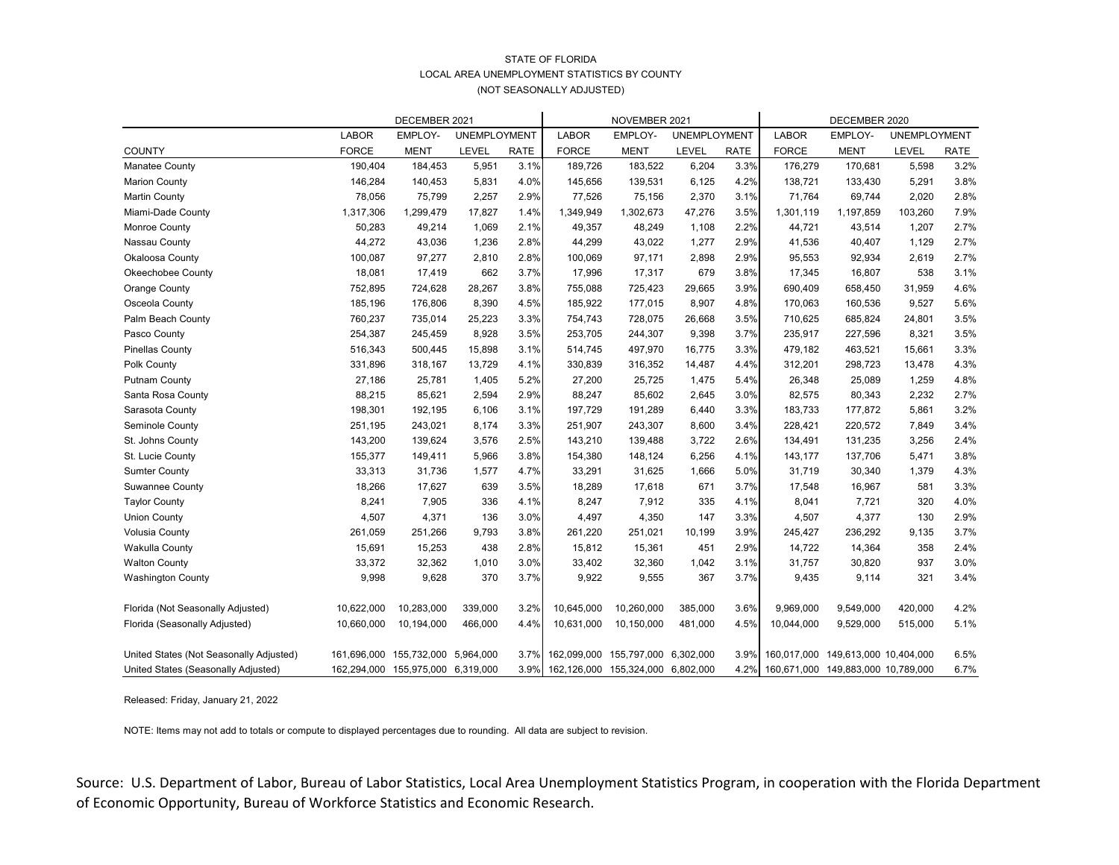# STATE OF FLORIDA LOCAL AREA UNEMPLOYMENT STATISTICS BY COUNTY (NOT SEASONALLY ADJUSTED)

|                                         | DECEMBER 2021 |                                   |                     |             | NOVEMBER 2021    |                       |                     |             | DECEMBER 2020 |                        |                     |             |
|-----------------------------------------|---------------|-----------------------------------|---------------------|-------------|------------------|-----------------------|---------------------|-------------|---------------|------------------------|---------------------|-------------|
|                                         | <b>LABOR</b>  | EMPLOY-                           | <b>UNEMPLOYMENT</b> |             | <b>LABOR</b>     | EMPLOY-               | <b>UNEMPLOYMENT</b> |             | <b>LABOR</b>  | EMPLOY-                | <b>UNEMPLOYMENT</b> |             |
| <b>COUNTY</b>                           | <b>FORCE</b>  | <b>MENT</b>                       | <b>LEVEL</b>        | <b>RATE</b> | <b>FORCE</b>     | <b>MENT</b>           | LEVEL               | <b>RATE</b> | <b>FORCE</b>  | <b>MENT</b>            | <b>LEVEL</b>        | <b>RATE</b> |
| Manatee County                          | 190,404       | 184,453                           | 5,951               | 3.1%        | 189,726          | 183,522               | 6,204               | 3.3%        | 176,279       | 170,681                | 5,598               | 3.2%        |
| <b>Marion County</b>                    | 146,284       | 140,453                           | 5,831               | 4.0%        | 145,656          | 139,531               | 6,125               | 4.2%        | 138,721       | 133,430                | 5,291               | 3.8%        |
| <b>Martin County</b>                    | 78,056        | 75,799                            | 2,257               | 2.9%        | 77,526           | 75,156                | 2,370               | 3.1%        | 71,764        | 69,744                 | 2,020               | 2.8%        |
| Miami-Dade County                       | 1,317,306     | 1,299,479                         | 17,827              | 1.4%        | 1,349,949        | 1,302,673             | 47,276              | 3.5%        | 1,301,119     | 1,197,859              | 103,260             | 7.9%        |
| Monroe County                           | 50,283        | 49,214                            | 1,069               | 2.1%        | 49,357           | 48,249                | 1,108               | 2.2%        | 44,721        | 43,514                 | 1,207               | 2.7%        |
| Nassau County                           | 44,272        | 43,036                            | 1,236               | 2.8%        | 44,299           | 43,022                | 1,277               | 2.9%        | 41,536        | 40,407                 | 1,129               | 2.7%        |
| Okaloosa County                         | 100,087       | 97,277                            | 2,810               | 2.8%        | 100,069          | 97,171                | 2,898               | 2.9%        | 95,553        | 92,934                 | 2,619               | 2.7%        |
| <b>Okeechobee County</b>                | 18,081        | 17,419                            | 662                 | 3.7%        | 17,996           | 17,317                | 679                 | 3.8%        | 17,345        | 16,807                 | 538                 | 3.1%        |
| <b>Orange County</b>                    | 752,895       | 724,628                           | 28,267              | 3.8%        | 755,088          | 725,423               | 29,665              | 3.9%        | 690,409       | 658,450                | 31,959              | 4.6%        |
| Osceola County                          | 185,196       | 176,806                           | 8,390               | 4.5%        | 185,922          | 177,015               | 8,907               | 4.8%        | 170,063       | 160,536                | 9,527               | 5.6%        |
| Palm Beach County                       | 760,237       | 735,014                           | 25,223              | 3.3%        | 754,743          | 728,075               | 26,668              | 3.5%        | 710,625       | 685,824                | 24,801              | 3.5%        |
| Pasco County                            | 254,387       | 245,459                           | 8,928               | 3.5%        | 253,705          | 244,307               | 9,398               | 3.7%        | 235,917       | 227,596                | 8,321               | 3.5%        |
| <b>Pinellas County</b>                  | 516,343       | 500,445                           | 15,898              | 3.1%        | 514,745          | 497,970               | 16,775              | 3.3%        | 479,182       | 463,521                | 15,661              | 3.3%        |
| Polk County                             | 331,896       | 318,167                           | 13,729              | 4.1%        | 330,839          | 316,352               | 14,487              | 4.4%        | 312,201       | 298,723                | 13,478              | 4.3%        |
| <b>Putnam County</b>                    | 27,186        | 25,781                            | 1,405               | 5.2%        | 27,200           | 25,725                | 1,475               | 5.4%        | 26,348        | 25,089                 | 1,259               | 4.8%        |
| Santa Rosa County                       | 88,215        | 85,621                            | 2,594               | 2.9%        | 88,247           | 85,602                | 2,645               | 3.0%        | 82,575        | 80,343                 | 2,232               | 2.7%        |
| Sarasota County                         | 198,301       | 192,195                           | 6,106               | 3.1%        | 197,729          | 191,289               | 6,440               | 3.3%        | 183,733       | 177,872                | 5,861               | 3.2%        |
| Seminole County                         | 251,195       | 243,021                           | 8,174               | 3.3%        | 251,907          | 243,307               | 8,600               | 3.4%        | 228,421       | 220,572                | 7,849               | 3.4%        |
| St. Johns County                        | 143,200       | 139,624                           | 3,576               | 2.5%        | 143,210          | 139,488               | 3,722               | 2.6%        | 134,491       | 131,235                | 3,256               | 2.4%        |
| St. Lucie County                        | 155,377       | 149,411                           | 5,966               | 3.8%        | 154,380          | 148,124               | 6,256               | 4.1%        | 143,177       | 137,706                | 5,471               | 3.8%        |
| <b>Sumter County</b>                    | 33,313        | 31,736                            | 1,577               | 4.7%        | 33,291           | 31,625                | 1,666               | 5.0%        | 31,719        | 30,340                 | 1,379               | 4.3%        |
| <b>Suwannee County</b>                  | 18,266        | 17,627                            | 639                 | 3.5%        | 18,289           | 17,618                | 671                 | 3.7%        | 17,548        | 16,967                 | 581                 | 3.3%        |
| <b>Taylor County</b>                    | 8,241         | 7,905                             | 336                 | 4.1%        | 8,247            | 7,912                 | 335                 | 4.1%        | 8,041         | 7,721                  | 320                 | 4.0%        |
| <b>Union County</b>                     | 4,507         | 4,371                             | 136                 | 3.0%        | 4,497            | 4,350                 | 147                 | 3.3%        | 4,507         | 4,377                  | 130                 | 2.9%        |
| <b>Volusia County</b>                   | 261,059       | 251,266                           | 9,793               | 3.8%        | 261,220          | 251,021               | 10,199              | 3.9%        | 245,427       | 236,292                | 9,135               | 3.7%        |
| <b>Wakulla County</b>                   | 15,691        | 15,253                            | 438                 | 2.8%        | 15,812           | 15,361                | 451                 | 2.9%        | 14,722        | 14,364                 | 358                 | 2.4%        |
| <b>Walton County</b>                    | 33,372        | 32,362                            | 1,010               | 3.0%        | 33,402           | 32,360                | 1,042               | 3.1%        | 31,757        | 30,820                 | 937                 | 3.0%        |
| <b>Washington County</b>                | 9,998         | 9,628                             | 370                 | 3.7%        | 9,922            | 9,555                 | 367                 | 3.7%        | 9,435         | 9,114                  | 321                 | 3.4%        |
| Florida (Not Seasonally Adjusted)       | 10,622,000    | 10,283,000                        | 339,000             | 3.2%        | 10,645,000       | 10,260,000            | 385,000             | 3.6%        | 9,969,000     | 9,549,000              | 420,000             | 4.2%        |
| Florida (Seasonally Adjusted)           | 10,660,000    | 10,194,000                        | 466,000             | 4.4%        | 10,631,000       | 10,150,000            | 481,000             | 4.5%        | 10,044,000    | 9,529,000              | 515,000             | 5.1%        |
| United States (Not Seasonally Adjusted) |               | 161,696,000 155,732,000 5,964,000 |                     |             | 3.7% 162,099,000 | 155,797,000 6,302,000 |                     | 3.9%        | 160,017,000   | 149,613,000 10,404,000 |                     | 6.5%        |
| United States (Seasonally Adjusted)     |               | 162,294,000 155,975,000 6,319,000 |                     |             | 3.9% 162,126,000 | 155,324,000 6,802,000 |                     | 4.2%        | 160,671,000   | 149,883,000 10,789,000 |                     | 6.7%        |

Released: Friday, January 21, 2022

NOTE: Items may not add to totals or compute to displayed percentages due to rounding. All data are subject to revision.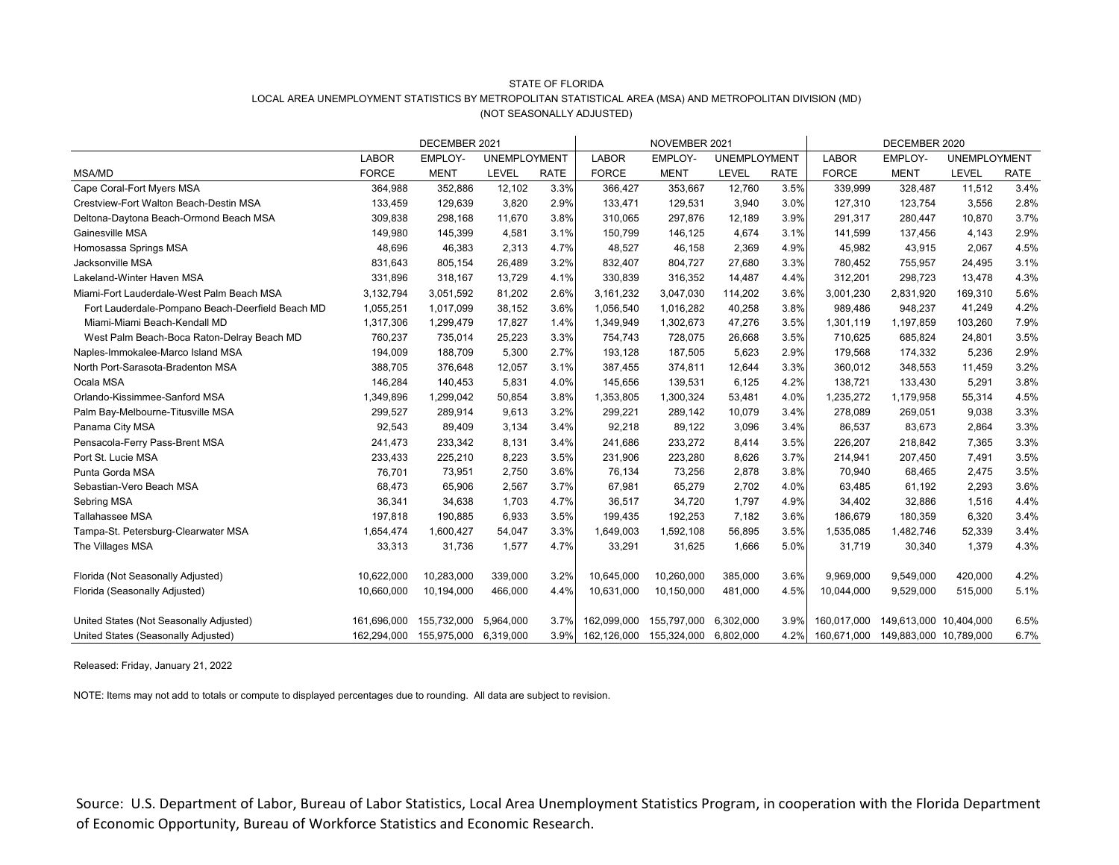# STATE OF FLORIDA LOCAL AREA UNEMPLOYMENT STATISTICS BY METROPOLITAN STATISTICAL AREA (MSA) AND METROPOLITAN DIVISION (MD) (NOT SEASONALLY ADJUSTED)

| DECEMBER 2021                                    |              |             |                     |             | NOVEMBER 2021 |             |                     |             | DECEMBER 2020 |                                    |                     |             |
|--------------------------------------------------|--------------|-------------|---------------------|-------------|---------------|-------------|---------------------|-------------|---------------|------------------------------------|---------------------|-------------|
|                                                  | <b>LABOR</b> | EMPLOY-     | <b>UNEMPLOYMENT</b> |             | <b>LABOR</b>  | EMPLOY-     | <b>UNEMPLOYMENT</b> |             | <b>LABOR</b>  | EMPLOY-                            | <b>UNEMPLOYMENT</b> |             |
| <b>MSA/MD</b>                                    | <b>FORCE</b> | <b>MENT</b> | <b>LEVEL</b>        | <b>RATE</b> | <b>FORCE</b>  | <b>MENT</b> | LEVEL               | <b>RATE</b> | <b>FORCE</b>  | <b>MENT</b>                        | LEVEL               | <b>RATE</b> |
| Cape Coral-Fort Myers MSA                        | 364,988      | 352,886     | 12,102              | 3.3%        | 366,427       | 353,667     | 12,760              | 3.5%        | 339,999       | 328,487                            | 11,512              | 3.4%        |
| Crestview-Fort Walton Beach-Destin MSA           | 133,459      | 129,639     | 3,820               | 2.9%        | 133,471       | 129,531     | 3,940               | 3.0%        | 127,310       | 123,754                            | 3,556               | 2.8%        |
| Deltona-Daytona Beach-Ormond Beach MSA           | 309,838      | 298,168     | 11,670              | 3.8%        | 310,065       | 297,876     | 12,189              | 3.9%        | 291,317       | 280,447                            | 10,870              | 3.7%        |
| Gainesville MSA                                  | 149,980      | 145,399     | 4,581               | 3.1%        | 150,799       | 146,125     | 4,674               | 3.1%        | 141,599       | 137,456                            | 4,143               | 2.9%        |
| Homosassa Springs MSA                            | 48,696       | 46,383      | 2,313               | 4.7%        | 48,527        | 46,158      | 2,369               | 4.9%        | 45,982        | 43,915                             | 2,067               | 4.5%        |
| Jacksonville MSA                                 | 831,643      | 805,154     | 26,489              | 3.2%        | 832,407       | 804,727     | 27,680              | 3.3%        | 780,452       | 755,957                            | 24,495              | 3.1%        |
| Lakeland-Winter Haven MSA                        | 331,896      | 318,167     | 13,729              | 4.1%        | 330,839       | 316,352     | 14,487              | 4.4%        | 312,201       | 298,723                            | 13,478              | 4.3%        |
| Miami-Fort Lauderdale-West Palm Beach MSA        | 3,132,794    | 3,051,592   | 81,202              | 2.6%        | 3,161,232     | 3,047,030   | 114,202             | 3.6%        | 3,001,230     | 2,831,920                          | 169,310             | 5.6%        |
| Fort Lauderdale-Pompano Beach-Deerfield Beach MD | 1,055,251    | 1,017,099   | 38,152              | 3.6%        | 1,056,540     | 1,016,282   | 40,258              | 3.8%        | 989,486       | 948,237                            | 41,249              | 4.2%        |
| Miami-Miami Beach-Kendall MD                     | 1,317,306    | 1,299,479   | 17,827              | 1.4%        | 1,349,949     | 1,302,673   | 47,276              | 3.5%        | 1,301,119     | 1,197,859                          | 103,260             | 7.9%        |
| West Palm Beach-Boca Raton-Delray Beach MD       | 760,237      | 735,014     | 25,223              | 3.3%        | 754,743       | 728,075     | 26,668              | 3.5%        | 710,625       | 685,824                            | 24,801              | 3.5%        |
| Naples-Immokalee-Marco Island MSA                | 194,009      | 188,709     | 5,300               | 2.7%        | 193,128       | 187,505     | 5,623               | 2.9%        | 179,568       | 174,332                            | 5,236               | 2.9%        |
| North Port-Sarasota-Bradenton MSA                | 388,705      | 376,648     | 12,057              | 3.1%        | 387,455       | 374,811     | 12,644              | 3.3%        | 360,012       | 348,553                            | 11,459              | 3.2%        |
| Ocala MSA                                        | 146,284      | 140,453     | 5,831               | 4.0%        | 145,656       | 139,531     | 6,125               | 4.2%        | 138,721       | 133,430                            | 5,291               | 3.8%        |
| Orlando-Kissimmee-Sanford MSA                    | 1,349,896    | 1,299,042   | 50,854              | 3.8%        | 1,353,805     | 1,300,324   | 53,481              | 4.0%        | 1,235,272     | 1,179,958                          | 55,314              | 4.5%        |
| Palm Bay-Melbourne-Titusville MSA                | 299,527      | 289,914     | 9,613               | 3.2%        | 299,221       | 289,142     | 10,079              | 3.4%        | 278,089       | 269,051                            | 9,038               | 3.3%        |
| Panama City MSA                                  | 92,543       | 89,409      | 3,134               | 3.4%        | 92,218        | 89,122      | 3,096               | 3.4%        | 86,537        | 83,673                             | 2,864               | 3.3%        |
| Pensacola-Ferry Pass-Brent MSA                   | 241,473      | 233,342     | 8,131               | 3.4%        | 241,686       | 233,272     | 8,414               | 3.5%        | 226,207       | 218,842                            | 7,365               | 3.3%        |
| Port St. Lucie MSA                               | 233,433      | 225,210     | 8,223               | 3.5%        | 231,906       | 223,280     | 8,626               | 3.7%        | 214,941       | 207,450                            | 7,491               | 3.5%        |
| Punta Gorda MSA                                  | 76,701       | 73,951      | 2,750               | 3.6%        | 76,134        | 73,256      | 2,878               | 3.8%        | 70,940        | 68,465                             | 2,475               | 3.5%        |
| Sebastian-Vero Beach MSA                         | 68,473       | 65,906      | 2,567               | 3.7%        | 67,981        | 65,279      | 2,702               | 4.0%        | 63,485        | 61,192                             | 2,293               | 3.6%        |
| Sebring MSA                                      | 36,341       | 34,638      | 1,703               | 4.7%        | 36,517        | 34,720      | 1,797               | 4.9%        | 34,402        | 32,886                             | 1,516               | 4.4%        |
| <b>Tallahassee MSA</b>                           | 197,818      | 190,885     | 6,933               | 3.5%        | 199,435       | 192,253     | 7,182               | 3.6%        | 186,679       | 180,359                            | 6,320               | 3.4%        |
| Tampa-St. Petersburg-Clearwater MSA              | 1,654,474    | 1,600,427   | 54,047              | 3.3%        | 1,649,003     | 1,592,108   | 56,895              | 3.5%        | 1,535,085     | 1,482,746                          | 52,339              | 3.4%        |
| The Villages MSA                                 | 33,313       | 31,736      | 1,577               | 4.7%        | 33,291        | 31,625      | 1,666               | 5.0%        | 31,719        | 30,340                             | 1,379               | 4.3%        |
| Florida (Not Seasonally Adjusted)                | 10,622,000   | 10,283,000  | 339,000             | 3.2%        | 10,645,000    | 10,260,000  | 385,000             | 3.6%        | 9,969,000     | 9,549,000                          | 420,000             | 4.2%        |
| Florida (Seasonally Adjusted)                    | 10,660,000   | 10,194,000  | 466,000             | 4.4%        | 10,631,000    | 10,150,000  | 481,000             | 4.5%        | 10,044,000    | 9,529,000                          | 515,000             | 5.1%        |
| United States (Not Seasonally Adjusted)          | 161,696,000  | 155,732,000 | 5,964,000           | 3.7%        | 162,099,000   | 155,797,000 | 6,302,000           | 3.9%        | 160,017,000   | 149,613,000 10,404,000             |                     | 6.5%        |
| United States (Seasonally Adjusted)              | 162,294,000  | 155,975,000 | 6,319,000           | 3.9%        | 162,126,000   | 155,324,000 | 6,802,000           | 4.2%        |               | 160,671,000 149,883,000 10,789,000 |                     | 6.7%        |

Released: Friday, January 21, 2022

NOTE: Items may not add to totals or compute to displayed percentages due to rounding. All data are subject to revision.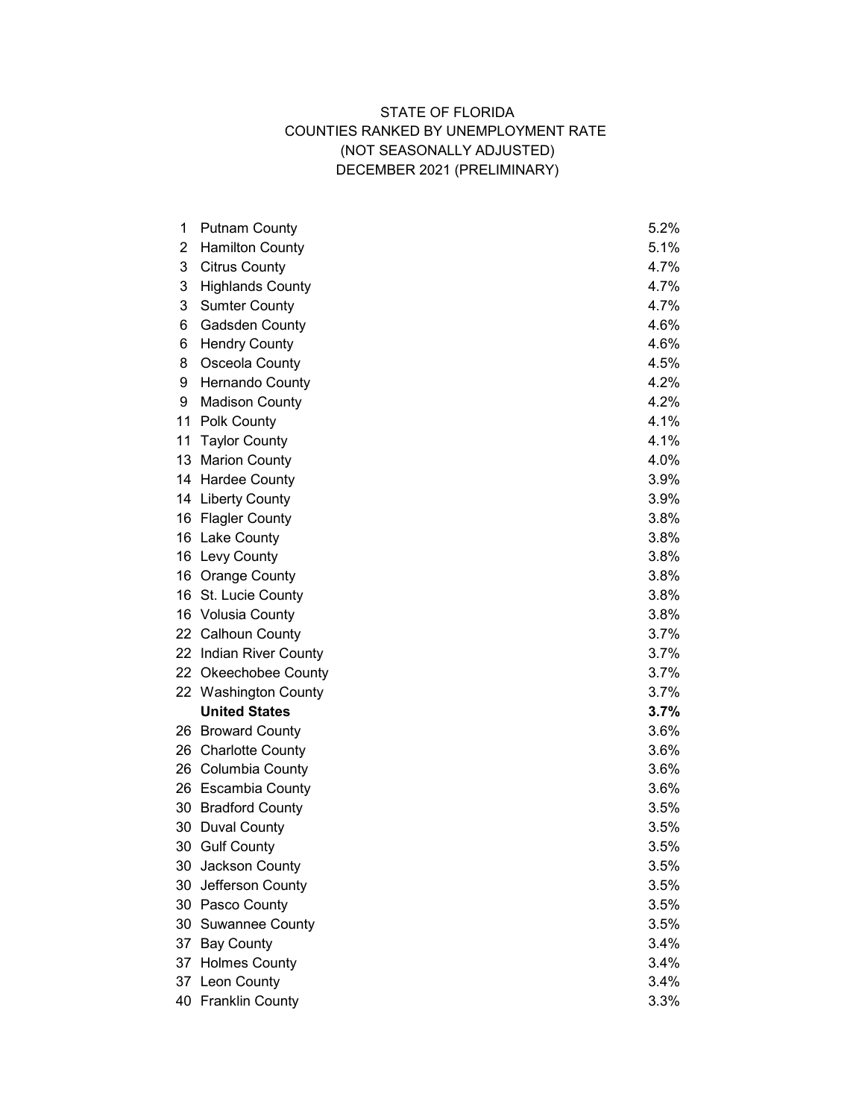# STATE OF FLORIDA COUNTIES RANKED BY UNEMPLOYMENT RATE (NOT SEASONALLY ADJUSTED) DECEMBER 2021 (PRELIMINARY)

| 1  | <b>Putnam County</b>    | 5.2% |
|----|-------------------------|------|
| 2  | <b>Hamilton County</b>  | 5.1% |
| 3  | <b>Citrus County</b>    | 4.7% |
| 3  | <b>Highlands County</b> | 4.7% |
| 3  | <b>Sumter County</b>    | 4.7% |
| 6  | <b>Gadsden County</b>   | 4.6% |
| 6  | <b>Hendry County</b>    | 4.6% |
| 8  | Osceola County          | 4.5% |
| 9  | <b>Hernando County</b>  | 4.2% |
| 9  | <b>Madison County</b>   | 4.2% |
| 11 | <b>Polk County</b>      | 4.1% |
| 11 | <b>Taylor County</b>    | 4.1% |
| 13 | <b>Marion County</b>    | 4.0% |
|    | 14 Hardee County        | 3.9% |
| 14 | <b>Liberty County</b>   | 3.9% |
| 16 | <b>Flagler County</b>   | 3.8% |
| 16 | <b>Lake County</b>      | 3.8% |
|    | 16 Levy County          | 3.8% |
|    | 16 Orange County        | 3.8% |
|    | 16 St. Lucie County     | 3.8% |
| 16 | <b>Volusia County</b>   | 3.8% |
|    | 22 Calhoun County       | 3.7% |
|    | 22 Indian River County  | 3.7% |
|    | 22 Okeechobee County    | 3.7% |
|    | 22 Washington County    | 3.7% |
|    | <b>United States</b>    | 3.7% |
|    | 26 Broward County       | 3.6% |
| 26 | <b>Charlotte County</b> | 3.6% |
|    | 26 Columbia County      | 3.6% |
|    | 26 Escambia County      | 3.6% |
|    | 30 Bradford County      | 3.5% |
| 30 | <b>Duval County</b>     | 3.5% |
|    | 30 Gulf County          | 3.5% |
| 30 | Jackson County          | 3.5% |
|    | 30 Jefferson County     | 3.5% |
|    | 30 Pasco County         | 3.5% |
|    | 30 Suwannee County      | 3.5% |
|    | 37 Bay County           | 3.4% |
|    | 37 Holmes County        | 3.4% |
|    | 37 Leon County          | 3.4% |
|    | 40 Franklin County      | 3.3% |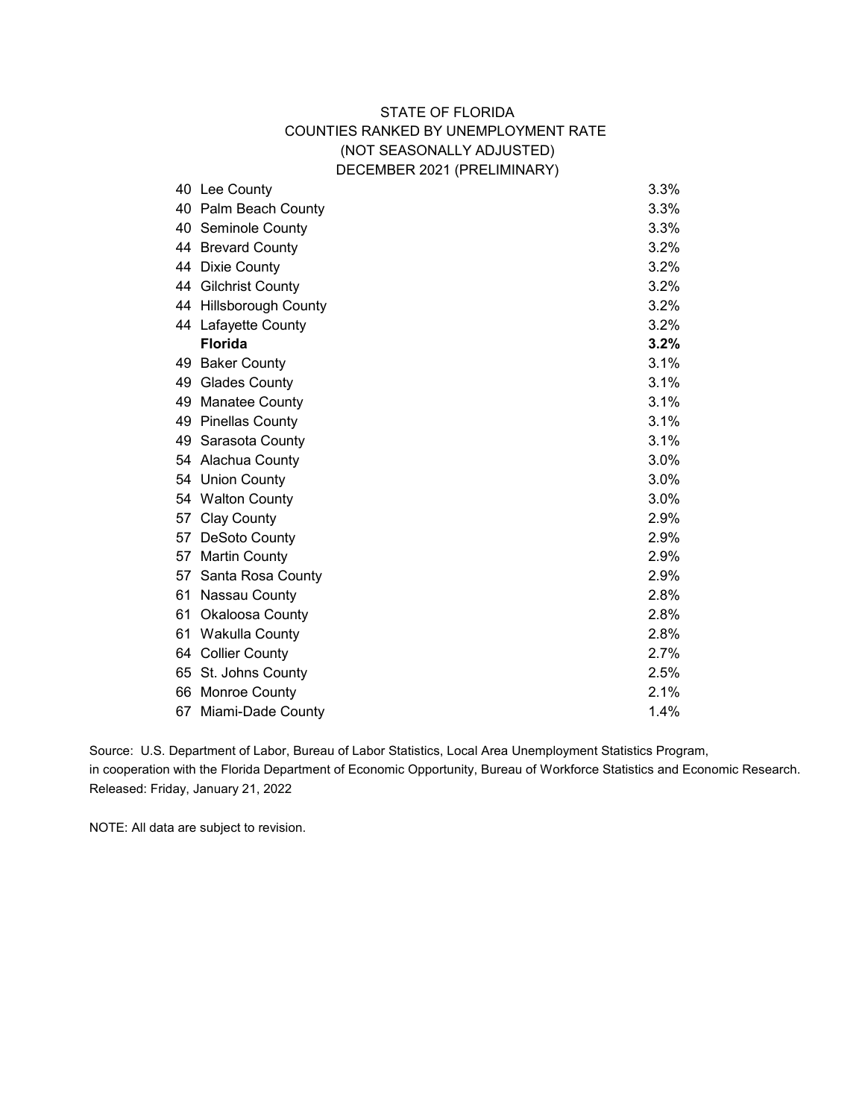## STATE OF FLORIDA COUNTIES RANKED BY UNEMPLOYMENT RATE (NOT SEASONALLY ADJUSTED) DECEMBER 2021 (PRELIMINARY)

| 40 | Lee County             | 3.3% |
|----|------------------------|------|
|    | 40 Palm Beach County   | 3.3% |
|    | 40 Seminole County     | 3.3% |
|    | 44 Brevard County      | 3.2% |
|    | 44 Dixie County        | 3.2% |
|    | 44 Gilchrist County    | 3.2% |
|    | 44 Hillsborough County | 3.2% |
|    | 44 Lafayette County    | 3.2% |
|    | <b>Florida</b>         | 3.2% |
|    | 49 Baker County        | 3.1% |
|    | 49 Glades County       | 3.1% |
| 49 | <b>Manatee County</b>  | 3.1% |
|    | 49 Pinellas County     | 3.1% |
|    | 49 Sarasota County     | 3.1% |
|    | 54 Alachua County      | 3.0% |
|    | 54 Union County        | 3.0% |
|    | 54 Walton County       | 3.0% |
|    | 57 Clay County         | 2.9% |
|    | 57 DeSoto County       | 2.9% |
|    | 57 Martin County       | 2.9% |
| 57 | Santa Rosa County      | 2.9% |
| 61 | Nassau County          | 2.8% |
|    | 61 Okaloosa County     | 2.8% |
|    | 61 Wakulla County      | 2.8% |
|    | 64 Collier County      | 2.7% |
|    | 65 St. Johns County    | 2.5% |
|    | 66 Monroe County       | 2.1% |
|    | 67 Miami-Dade County   | 1.4% |
|    |                        |      |

Source: U.S. Department of Labor, Bureau of Labor Statistics, Local Area Unemployment Statistics Program, in cooperation with the Florida Department of Economic Opportunity, Bureau of Workforce Statistics and Economic Research. Released: Friday, January 21, 2022

NOTE: All data are subject to revision.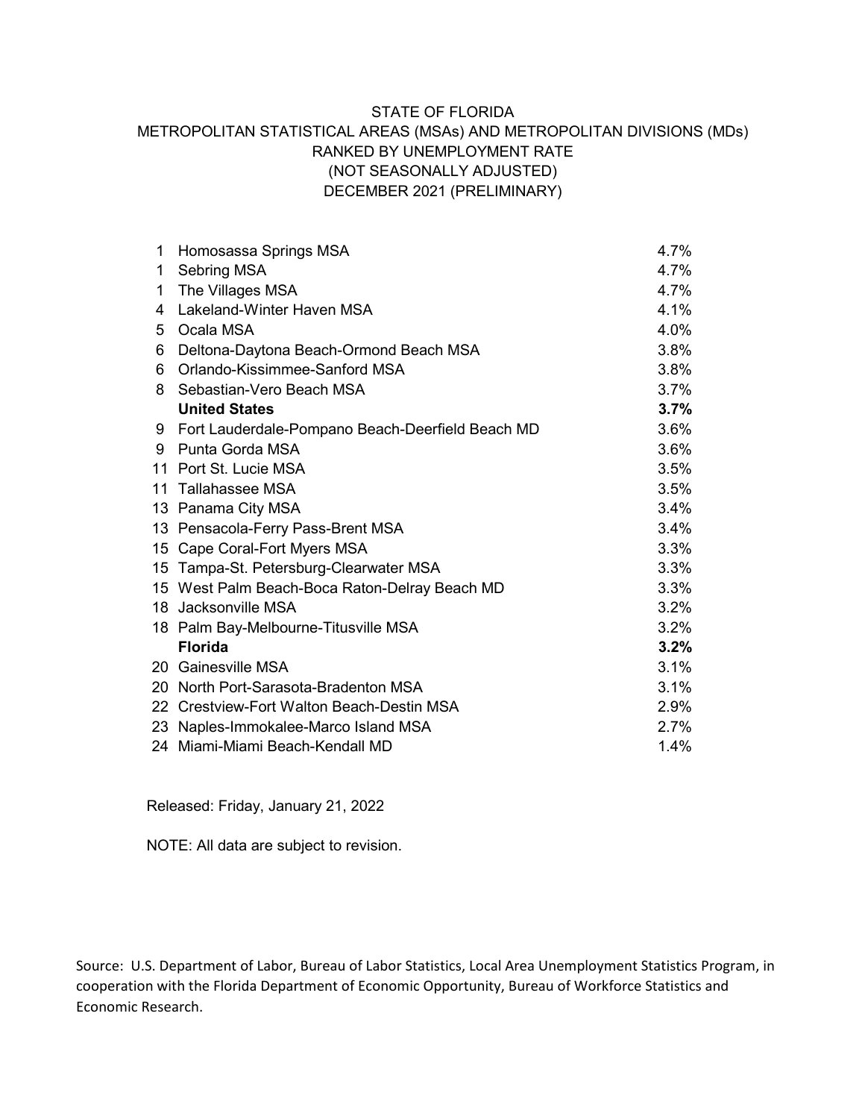## STATE OF FLORIDA METROPOLITAN STATISTICAL AREAS (MSAs) AND METROPOLITAN DIVISIONS (MDs) RANKED BY UNEMPLOYMENT RATE (NOT SEASONALLY ADJUSTED) DECEMBER 2021 (PRELIMINARY)

| 1  | Homosassa Springs MSA                            | 4.7% |
|----|--------------------------------------------------|------|
| 1  | Sebring MSA                                      | 4.7% |
| 1  | The Villages MSA                                 | 4.7% |
| 4  | Lakeland-Winter Haven MSA                        | 4.1% |
| 5  | Ocala MSA                                        | 4.0% |
| 6  | Deltona-Daytona Beach-Ormond Beach MSA           | 3.8% |
| 6  | Orlando-Kissimmee-Sanford MSA                    | 3.8% |
| 8  | Sebastian-Vero Beach MSA                         | 3.7% |
|    | <b>United States</b>                             | 3.7% |
| 9. | Fort Lauderdale-Pompano Beach-Deerfield Beach MD | 3.6% |
| 9  | Punta Gorda MSA                                  | 3.6% |
| 11 | Port St. Lucie MSA                               | 3.5% |
|    | 11 Tallahassee MSA                               | 3.5% |
| 13 | Panama City MSA                                  | 3.4% |
| 13 | Pensacola-Ferry Pass-Brent MSA                   | 3.4% |
| 15 | Cape Coral-Fort Myers MSA                        | 3.3% |
| 15 | Tampa-St. Petersburg-Clearwater MSA              | 3.3% |
|    | 15 West Palm Beach-Boca Raton-Delray Beach MD    | 3.3% |
|    | 18 Jacksonville MSA                              | 3.2% |
|    | 18 Palm Bay-Melbourne-Titusville MSA             | 3.2% |
|    | <b>Florida</b>                                   | 3.2% |
|    | 20 Gainesville MSA                               | 3.1% |
| 20 | North Port-Sarasota-Bradenton MSA                | 3.1% |
|    | 22 Crestview-Fort Walton Beach-Destin MSA        | 2.9% |
|    | 23 Naples-Immokalee-Marco Island MSA             | 2.7% |
|    | 24 Miami-Miami Beach-Kendall MD                  | 1.4% |

Released: Friday, January 21, 2022

NOTE: All data are subject to revision.